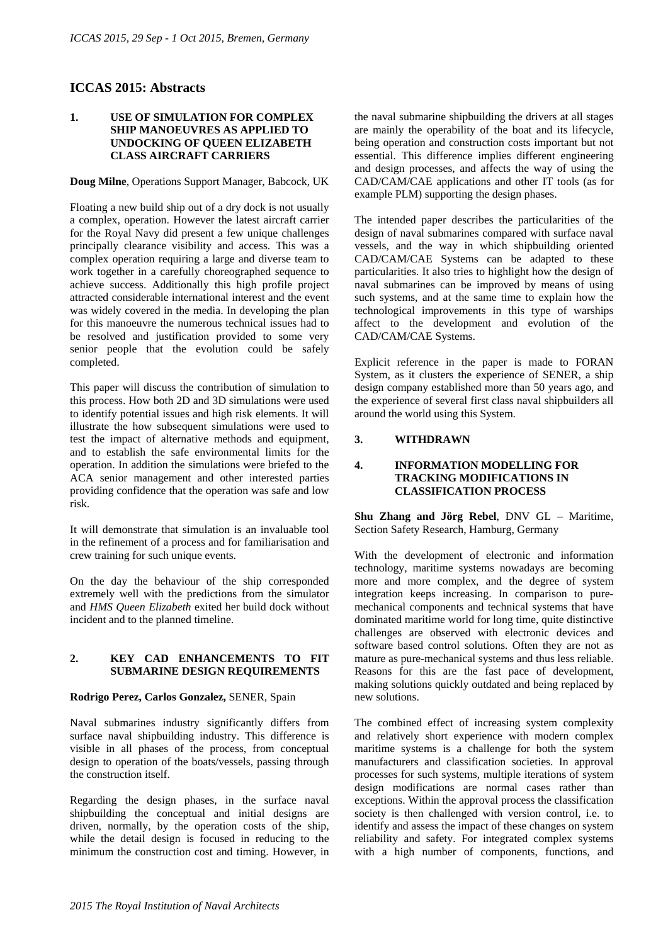# **ICCAS 2015: Abstracts**

## **1. USE OF SIMULATION FOR COMPLEX SHIP MANOEUVRES AS APPLIED TO UNDOCKING OF QUEEN ELIZABETH CLASS AIRCRAFT CARRIERS**

**Doug Milne**, Operations Support Manager, Babcock, UK

Floating a new build ship out of a dry dock is not usually a complex, operation. However the latest aircraft carrier for the Royal Navy did present a few unique challenges principally clearance visibility and access. This was a complex operation requiring a large and diverse team to work together in a carefully choreographed sequence to achieve success. Additionally this high profile project attracted considerable international interest and the event was widely covered in the media. In developing the plan for this manoeuvre the numerous technical issues had to be resolved and justification provided to some very senior people that the evolution could be safely completed.

This paper will discuss the contribution of simulation to this process. How both 2D and 3D simulations were used to identify potential issues and high risk elements. It will illustrate the how subsequent simulations were used to test the impact of alternative methods and equipment, and to establish the safe environmental limits for the operation. In addition the simulations were briefed to the ACA senior management and other interested parties providing confidence that the operation was safe and low risk.

It will demonstrate that simulation is an invaluable tool in the refinement of a process and for familiarisation and crew training for such unique events.

On the day the behaviour of the ship corresponded extremely well with the predictions from the simulator and *HMS Queen Elizabeth* exited her build dock without incident and to the planned timeline.

#### **2. KEY CAD ENHANCEMENTS TO FIT SUBMARINE DESIGN REQUIREMENTS**

## **Rodrigo Perez, Carlos Gonzalez,** SENER, Spain

Naval submarines industry significantly differs from surface naval shipbuilding industry. This difference is visible in all phases of the process, from conceptual design to operation of the boats/vessels, passing through the construction itself.

Regarding the design phases, in the surface naval shipbuilding the conceptual and initial designs are driven, normally, by the operation costs of the ship, while the detail design is focused in reducing to the minimum the construction cost and timing. However, in the naval submarine shipbuilding the drivers at all stages are mainly the operability of the boat and its lifecycle, being operation and construction costs important but not essential. This difference implies different engineering and design processes, and affects the way of using the CAD/CAM/CAE applications and other IT tools (as for example PLM) supporting the design phases.

The intended paper describes the particularities of the design of naval submarines compared with surface naval vessels, and the way in which shipbuilding oriented CAD/CAM/CAE Systems can be adapted to these particularities. It also tries to highlight how the design of naval submarines can be improved by means of using such systems, and at the same time to explain how the technological improvements in this type of warships affect to the development and evolution of the CAD/CAM/CAE Systems.

Explicit reference in the paper is made to FORAN System, as it clusters the experience of SENER, a ship design company established more than 50 years ago, and the experience of several first class naval shipbuilders all around the world using this System.

# **3. WITHDRAWN**

### **4. INFORMATION MODELLING FOR TRACKING MODIFICATIONS IN CLASSIFICATION PROCESS**

**Shu Zhang and Jörg Rebel**, DNV GL – Maritime, Section Safety Research, Hamburg, Germany

With the development of electronic and information technology, maritime systems nowadays are becoming more and more complex, and the degree of system integration keeps increasing. In comparison to puremechanical components and technical systems that have dominated maritime world for long time, quite distinctive challenges are observed with electronic devices and software based control solutions. Often they are not as mature as pure-mechanical systems and thus less reliable. Reasons for this are the fast pace of development, making solutions quickly outdated and being replaced by new solutions.

The combined effect of increasing system complexity and relatively short experience with modern complex maritime systems is a challenge for both the system manufacturers and classification societies. In approval processes for such systems, multiple iterations of system design modifications are normal cases rather than exceptions. Within the approval process the classification society is then challenged with version control, i.e. to identify and assess the impact of these changes on system reliability and safety. For integrated complex systems with a high number of components, functions, and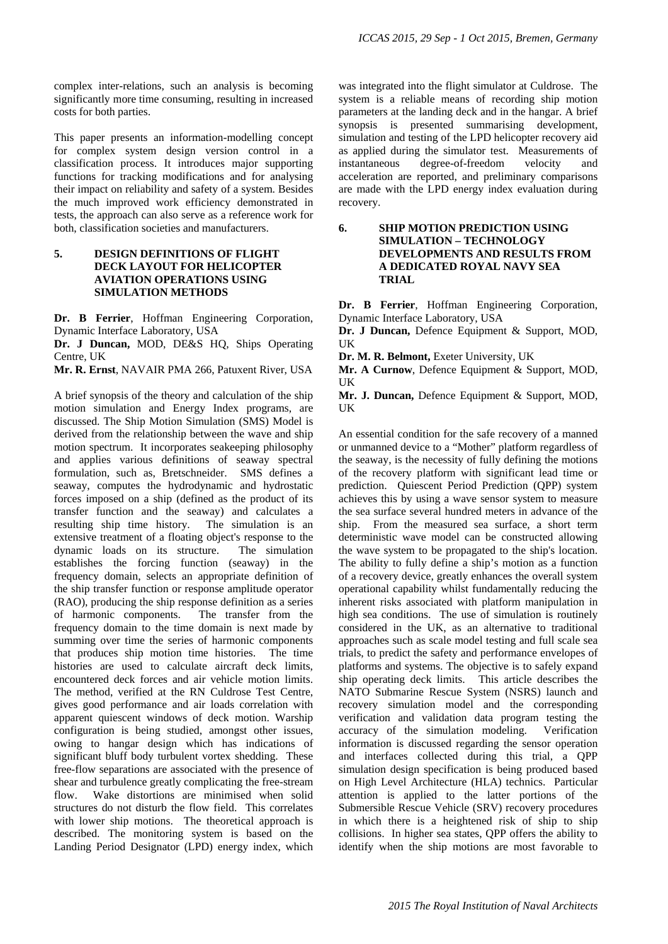complex inter-relations, such an analysis is becoming significantly more time consuming, resulting in increased costs for both parties.

This paper presents an information-modelling concept for complex system design version control in a classification process. It introduces major supporting functions for tracking modifications and for analysing their impact on reliability and safety of a system. Besides the much improved work efficiency demonstrated in tests, the approach can also serve as a reference work for both, classification societies and manufacturers.

## **5. DESIGN DEFINITIONS OF FLIGHT DECK LAYOUT FOR HELICOPTER AVIATION OPERATIONS USING SIMULATION METHODS**

**Dr. B Ferrier**, Hoffman Engineering Corporation, Dynamic Interface Laboratory, USA

**Dr. J Duncan,** MOD, DE&S HQ, Ships Operating Centre, UK

**Mr. R. Ernst**, NAVAIR PMA 266, Patuxent River, USA

A brief synopsis of the theory and calculation of the ship motion simulation and Energy Index programs, are discussed. The Ship Motion Simulation (SMS) Model is derived from the relationship between the wave and ship motion spectrum. It incorporates seakeeping philosophy and applies various definitions of seaway spectral formulation, such as, Bretschneider. SMS defines a seaway, computes the hydrodynamic and hydrostatic forces imposed on a ship (defined as the product of its transfer function and the seaway) and calculates a resulting ship time history. The simulation is an extensive treatment of a floating object's response to the dynamic loads on its structure. The simulation establishes the forcing function (seaway) in the frequency domain, selects an appropriate definition of the ship transfer function or response amplitude operator (RAO), producing the ship response definition as a series of harmonic components. The transfer from the frequency domain to the time domain is next made by summing over time the series of harmonic components that produces ship motion time histories. The time histories are used to calculate aircraft deck limits, encountered deck forces and air vehicle motion limits. The method, verified at the RN Culdrose Test Centre, gives good performance and air loads correlation with apparent quiescent windows of deck motion. Warship configuration is being studied, amongst other issues, owing to hangar design which has indications of significant bluff body turbulent vortex shedding. These free-flow separations are associated with the presence of shear and turbulence greatly complicating the free-stream flow. Wake distortions are minimised when solid structures do not disturb the flow field. This correlates with lower ship motions. The theoretical approach is described. The monitoring system is based on the Landing Period Designator (LPD) energy index, which was integrated into the flight simulator at Culdrose. The system is a reliable means of recording ship motion parameters at the landing deck and in the hangar. A brief synopsis is presented summarising development, simulation and testing of the LPD helicopter recovery aid as applied during the simulator test. Measurements of instantaneous degree-of-freedom velocity and acceleration are reported, and preliminary comparisons are made with the LPD energy index evaluation during recovery.

# **6. SHIP MOTION PREDICTION USING SIMULATION – TECHNOLOGY DEVELOPMENTS AND RESULTS FROM A DEDICATED ROYAL NAVY SEA TRIAL**

**Dr. B Ferrier**, Hoffman Engineering Corporation, Dynamic Interface Laboratory, USA

**Dr. J Duncan,** Defence Equipment & Support, MOD, UK

**Dr. M. R. Belmont,** Exeter University, UK

**Mr. A Curnow**, Defence Equipment & Support, MOD, UK

**Mr. J. Duncan,** Defence Equipment & Support, MOD, **IK** 

An essential condition for the safe recovery of a manned or unmanned device to a "Mother" platform regardless of the seaway, is the necessity of fully defining the motions of the recovery platform with significant lead time or prediction. Quiescent Period Prediction (QPP) system achieves this by using a wave sensor system to measure the sea surface several hundred meters in advance of the ship. From the measured sea surface, a short term deterministic wave model can be constructed allowing the wave system to be propagated to the ship's location. The ability to fully define a ship's motion as a function of a recovery device, greatly enhances the overall system operational capability whilst fundamentally reducing the inherent risks associated with platform manipulation in high sea conditions. The use of simulation is routinely considered in the UK, as an alternative to traditional approaches such as scale model testing and full scale sea trials, to predict the safety and performance envelopes of platforms and systems. The objective is to safely expand ship operating deck limits. This article describes the NATO Submarine Rescue System (NSRS) launch and recovery simulation model and the corresponding verification and validation data program testing the accuracy of the simulation modeling. Verification information is discussed regarding the sensor operation and interfaces collected during this trial, a QPP simulation design specification is being produced based on High Level Architecture (HLA) technics. Particular attention is applied to the latter portions of the Submersible Rescue Vehicle (SRV) recovery procedures in which there is a heightened risk of ship to ship collisions. In higher sea states, QPP offers the ability to identify when the ship motions are most favorable to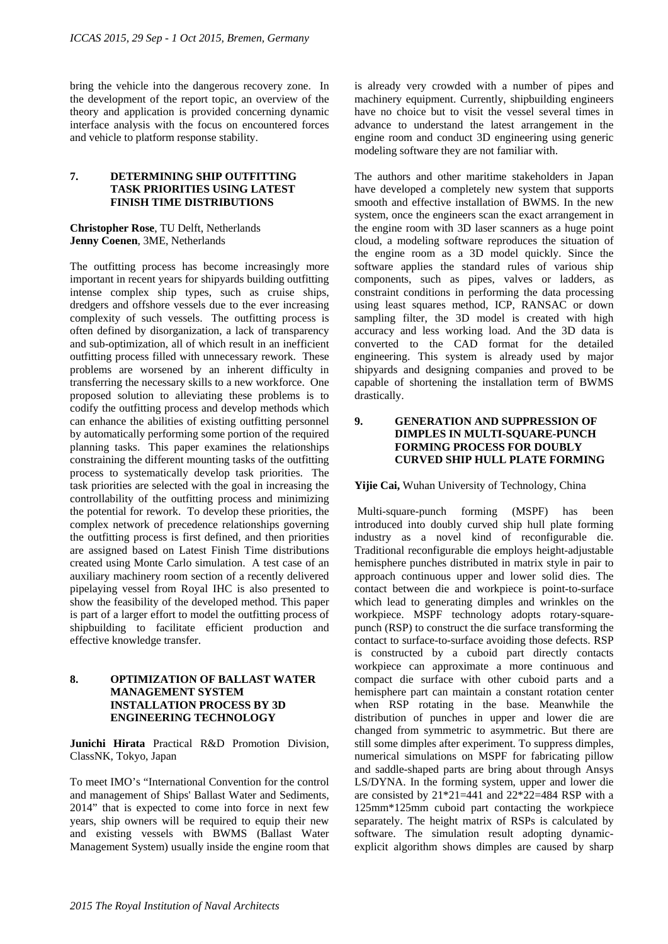bring the vehicle into the dangerous recovery zone. In the development of the report topic, an overview of the theory and application is provided concerning dynamic interface analysis with the focus on encountered forces and vehicle to platform response stability.

## **7. DETERMINING SHIP OUTFITTING TASK PRIORITIES USING LATEST FINISH TIME DISTRIBUTIONS**

**Christopher Rose**, TU Delft, Netherlands **Jenny Coenen**, 3ME, Netherlands

The outfitting process has become increasingly more important in recent years for shipyards building outfitting intense complex ship types, such as cruise ships, dredgers and offshore vessels due to the ever increasing complexity of such vessels. The outfitting process is often defined by disorganization, a lack of transparency and sub-optimization, all of which result in an inefficient outfitting process filled with unnecessary rework. These problems are worsened by an inherent difficulty in transferring the necessary skills to a new workforce. One proposed solution to alleviating these problems is to codify the outfitting process and develop methods which can enhance the abilities of existing outfitting personnel by automatically performing some portion of the required planning tasks. This paper examines the relationships constraining the different mounting tasks of the outfitting process to systematically develop task priorities. The task priorities are selected with the goal in increasing the controllability of the outfitting process and minimizing the potential for rework. To develop these priorities, the complex network of precedence relationships governing the outfitting process is first defined, and then priorities are assigned based on Latest Finish Time distributions created using Monte Carlo simulation. A test case of an auxiliary machinery room section of a recently delivered pipelaying vessel from Royal IHC is also presented to show the feasibility of the developed method. This paper is part of a larger effort to model the outfitting process of shipbuilding to facilitate efficient production and effective knowledge transfer.

## **8. OPTIMIZATION OF BALLAST WATER MANAGEMENT SYSTEM INSTALLATION PROCESS BY 3D ENGINEERING TECHNOLOGY**

**Junichi Hirata** Practical R&D Promotion Division, ClassNK, Tokyo, Japan

To meet IMO's "International Convention for the control and management of Ships' Ballast Water and Sediments, 2014" that is expected to come into force in next few years, ship owners will be required to equip their new and existing vessels with BWMS (Ballast Water Management System) usually inside the engine room that

is already very crowded with a number of pipes and machinery equipment. Currently, shipbuilding engineers have no choice but to visit the vessel several times in advance to understand the latest arrangement in the engine room and conduct 3D engineering using generic modeling software they are not familiar with.

The authors and other maritime stakeholders in Japan have developed a completely new system that supports smooth and effective installation of BWMS. In the new system, once the engineers scan the exact arrangement in the engine room with 3D laser scanners as a huge point cloud, a modeling software reproduces the situation of the engine room as a 3D model quickly. Since the software applies the standard rules of various ship components, such as pipes, valves or ladders, as constraint conditions in performing the data processing using least squares method, ICP, RANSAC or down sampling filter, the 3D model is created with high accuracy and less working load. And the 3D data is converted to the CAD format for the detailed engineering. This system is already used by major shipyards and designing companies and proved to be capable of shortening the installation term of BWMS drastically.

## **9. GENERATION AND SUPPRESSION OF DIMPLES IN MULTI-SQUARE-PUNCH FORMING PROCESS FOR DOUBLY CURVED SHIP HULL PLATE FORMING**

## **Yijie Cai,** Wuhan University of Technology, China

 Multi-square-punch forming (MSPF) has been introduced into doubly curved ship hull plate forming industry as a novel kind of reconfigurable die. Traditional reconfigurable die employs height-adjustable hemisphere punches distributed in matrix style in pair to approach continuous upper and lower solid dies. The contact between die and workpiece is point-to-surface which lead to generating dimples and wrinkles on the workpiece. MSPF technology adopts rotary-squarepunch (RSP) to construct the die surface transforming the contact to surface-to-surface avoiding those defects. RSP is constructed by a cuboid part directly contacts workpiece can approximate a more continuous and compact die surface with other cuboid parts and a hemisphere part can maintain a constant rotation center when RSP rotating in the base. Meanwhile the distribution of punches in upper and lower die are changed from symmetric to asymmetric. But there are still some dimples after experiment. To suppress dimples, numerical simulations on MSPF for fabricating pillow and saddle-shaped parts are bring about through Ansys LS/DYNA. In the forming system, upper and lower die are consisted by  $21*21=441$  and  $22*22=484$  RSP with a 125mm\*125mm cuboid part contacting the workpiece separately. The height matrix of RSPs is calculated by software. The simulation result adopting dynamicexplicit algorithm shows dimples are caused by sharp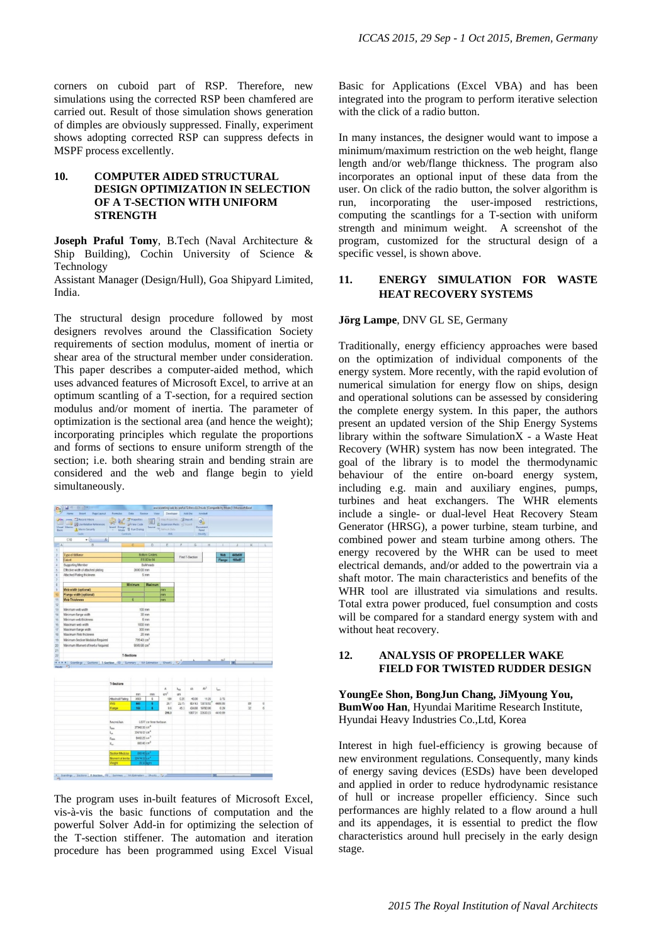corners on cuboid part of RSP. Therefore, new simulations using the corrected RSP been chamfered are carried out. Result of those simulation shows generation of dimples are obviously suppressed. Finally, experiment shows adopting corrected RSP can suppress defects in MSPF process excellently.

## **10. COMPUTER AIDED STRUCTURAL DESIGN OPTIMIZATION IN SELECTION OF A T**‐**SECTION WITH UNIFORM STRENGTH**

**Joseph Praful Tomy**, B.Tech (Naval Architecture & Ship Building), Cochin University of Science & Technology

Assistant Manager (Design/Hull), Goa Shipyard Limited, India.

The structural design procedure followed by most designers revolves around the Classification Society requirements of section modulus, moment of inertia or shear area of the structural member under consideration. This paper describes a computer-aided method, which uses advanced features of Microsoft Excel, to arrive at an optimum scantling of a T-section, for a required section modulus and/or moment of inertia. The parameter of optimization is the sectional area (and hence the weight); incorporating principles which regulate the proportions and forms of sections to ensure uniform strength of the section; i.e. both shearing strain and bending strain are considered and the web and flange begin to yield simultaneously.



The program uses in-built features of Microsoft Excel, vis-à-vis the basic functions of computation and the powerful Solver Add-in for optimizing the selection of the T-section stiffener. The automation and iteration procedure has been programmed using Excel Visual

Basic for Applications (Excel VBA) and has been integrated into the program to perform iterative selection with the click of a radio button.

In many instances, the designer would want to impose a minimum/maximum restriction on the web height, flange length and/or web/flange thickness. The program also incorporates an optional input of these data from the user. On click of the radio button, the solver algorithm is run, incorporating the user-imposed restrictions, computing the scantlings for a T-section with uniform strength and minimum weight. A screenshot of the program, customized for the structural design of a specific vessel, is shown above.

# **11. ENERGY SIMULATION FOR WASTE HEAT RECOVERY SYSTEMS**

#### **Jörg Lampe**, DNV GL SE, Germany

Traditionally, energy efficiency approaches were based on the optimization of individual components of the energy system. More recently, with the rapid evolution of numerical simulation for energy flow on ships, design and operational solutions can be assessed by considering the complete energy system. In this paper, the authors present an updated version of the Ship Energy Systems library within the software SimulationX - a Waste Heat Recovery (WHR) system has now been integrated. The goal of the library is to model the thermodynamic behaviour of the entire on-board energy system, including e.g. main and auxiliary engines, pumps, turbines and heat exchangers. The WHR elements include a single- or dual-level Heat Recovery Steam Generator (HRSG), a power turbine, steam turbine, and combined power and steam turbine among others. The energy recovered by the WHR can be used to meet electrical demands, and/or added to the powertrain via a shaft motor. The main characteristics and benefits of the WHR tool are illustrated via simulations and results. Total extra power produced, fuel consumption and costs will be compared for a standard energy system with and without heat recovery.

### **12. ANALYSIS OF PROPELLER WAKE FIELD FOR TWISTED RUDDER DESIGN**

**YoungEe Shon, BongJun Chang, JiMyoung You, BumWoo Han**, Hyundai Maritime Research Institute, Hyundai Heavy Industries Co.,Ltd, Korea

Interest in high fuel-efficiency is growing because of new environment regulations. Consequently, many kinds of energy saving devices (ESDs) have been developed and applied in order to reduce hydrodynamic resistance of hull or increase propeller efficiency. Since such performances are highly related to a flow around a hull and its appendages, it is essential to predict the flow characteristics around hull precisely in the early design stage.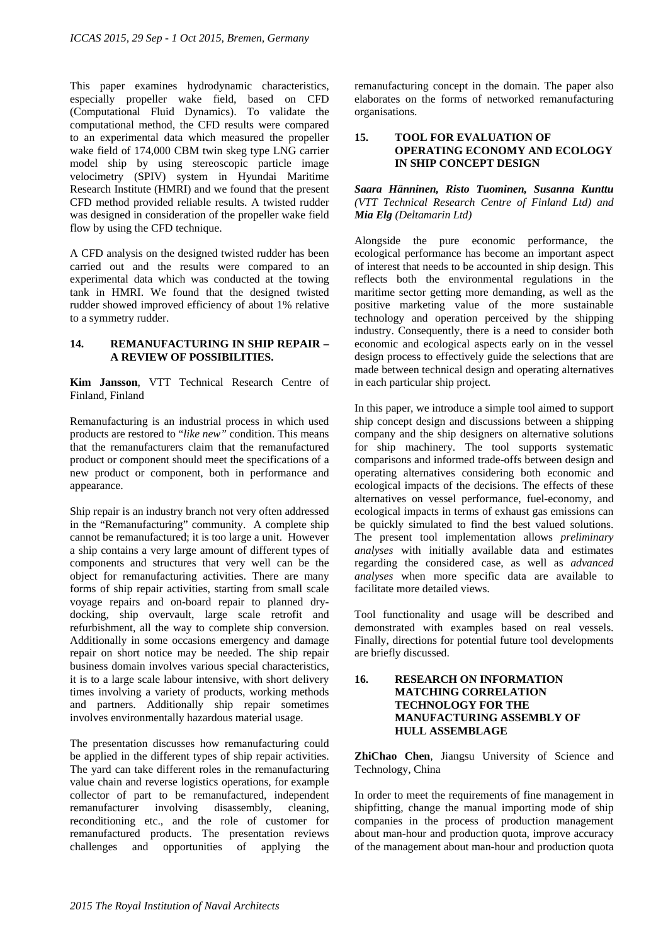This paper examines hydrodynamic characteristics, especially propeller wake field, based on CFD (Computational Fluid Dynamics). To validate the computational method, the CFD results were compared to an experimental data which measured the propeller wake field of 174,000 CBM twin skeg type LNG carrier model ship by using stereoscopic particle image velocimetry (SPIV) system in Hyundai Maritime Research Institute (HMRI) and we found that the present CFD method provided reliable results. A twisted rudder was designed in consideration of the propeller wake field flow by using the CFD technique.

A CFD analysis on the designed twisted rudder has been carried out and the results were compared to an experimental data which was conducted at the towing tank in HMRI. We found that the designed twisted rudder showed improved efficiency of about 1% relative to a symmetry rudder.

## **14. REMANUFACTURING IN SHIP REPAIR – A REVIEW OF POSSIBILITIES.**

**Kim Jansson**, VTT Technical Research Centre of Finland, Finland

Remanufacturing is an industrial process in which used products are restored to "*like new"* condition. This means that the remanufacturers claim that the remanufactured product or component should meet the specifications of a new product or component, both in performance and appearance.

Ship repair is an industry branch not very often addressed in the "Remanufacturing" community. A complete ship cannot be remanufactured; it is too large a unit. However a ship contains a very large amount of different types of components and structures that very well can be the object for remanufacturing activities. There are many forms of ship repair activities, starting from small scale voyage repairs and on-board repair to planned drydocking, ship overvault, large scale retrofit and refurbishment, all the way to complete ship conversion. Additionally in some occasions emergency and damage repair on short notice may be needed. The ship repair business domain involves various special characteristics, it is to a large scale labour intensive, with short delivery times involving a variety of products, working methods and partners. Additionally ship repair sometimes involves environmentally hazardous material usage.

The presentation discusses how remanufacturing could be applied in the different types of ship repair activities. The yard can take different roles in the remanufacturing value chain and reverse logistics operations, for example collector of part to be remanufactured, independent remanufacturer involving disassembly, cleaning, reconditioning etc., and the role of customer for remanufactured products. The presentation reviews challenges and opportunities of applying the

remanufacturing concept in the domain. The paper also elaborates on the forms of networked remanufacturing organisations.

### **15. TOOL FOR EVALUATION OF OPERATING ECONOMY AND ECOLOGY IN SHIP CONCEPT DESIGN**

### *Saara Hänninen, Risto Tuominen, Susanna Kunttu (VTT Technical Research Centre of Finland Ltd) and Mia Elg (Deltamarin Ltd)*

Alongside the pure economic performance, the ecological performance has become an important aspect of interest that needs to be accounted in ship design. This reflects both the environmental regulations in the maritime sector getting more demanding, as well as the positive marketing value of the more sustainable technology and operation perceived by the shipping industry. Consequently, there is a need to consider both economic and ecological aspects early on in the vessel design process to effectively guide the selections that are made between technical design and operating alternatives in each particular ship project.

In this paper, we introduce a simple tool aimed to support ship concept design and discussions between a shipping company and the ship designers on alternative solutions for ship machinery. The tool supports systematic comparisons and informed trade-offs between design and operating alternatives considering both economic and ecological impacts of the decisions. The effects of these alternatives on vessel performance, fuel-economy, and ecological impacts in terms of exhaust gas emissions can be quickly simulated to find the best valued solutions. The present tool implementation allows *preliminary analyses* with initially available data and estimates regarding the considered case, as well as *advanced analyses* when more specific data are available to facilitate more detailed views.

Tool functionality and usage will be described and demonstrated with examples based on real vessels. Finally, directions for potential future tool developments are briefly discussed.

### **16. RESEARCH ON INFORMATION MATCHING CORRELATION TECHNOLOGY FOR THE MANUFACTURING ASSEMBLY OF HULL ASSEMBLAGE**

**ZhiChao Chen**, Jiangsu University of Science and Technology, China

In order to meet the requirements of fine management in shipfitting, change the manual importing mode of ship companies in the process of production management about man-hour and production quota, improve accuracy of the management about man-hour and production quota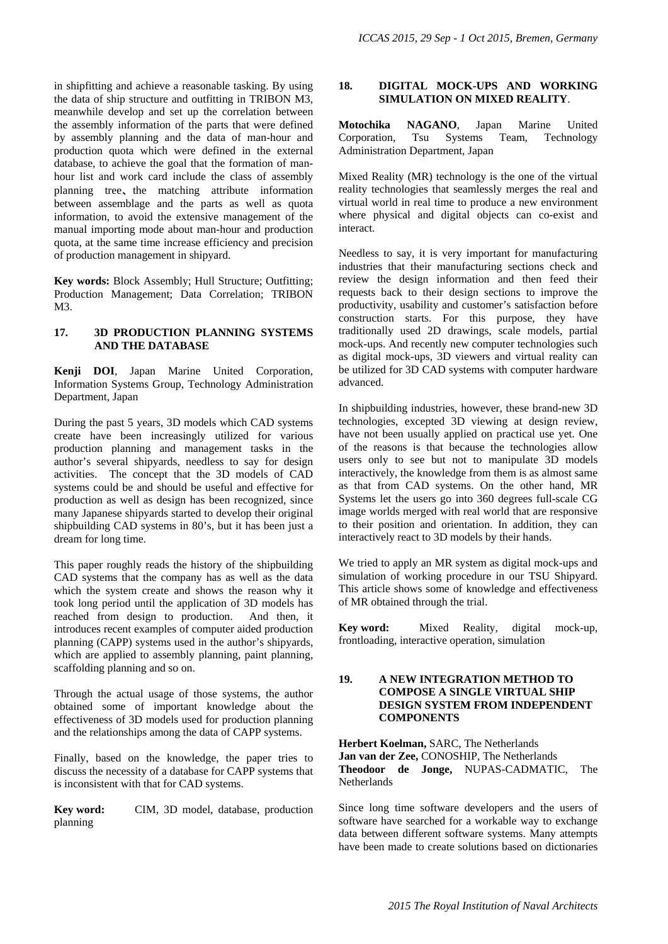in shipfitting and achieve a reasonable tasking. By using the data of ship structure and outfitting in TRIBON M3, meanwhile develop and set up the correlation between the assembly information of the parts that were defined by assembly planning and the data of man-hour and production quota which were defined in the external database, to achieve the goal that the formation of manhour list and work card include the class of assembly planning tree、the matching attribute information between assemblage and the parts as well as quota information, to avoid the extensive management of the manual importing mode about man-hour and production quota, at the same time increase efficiency and precision of production management in shipyard.

**Key words:** Block Assembly; Hull Structure; Outfitting; Production Management; Data Correlation; TRIBON M3.

## **17. 3D PRODUCTION PLANNING SYSTEMS AND THE DATABASE**

**Kenji DOI**, Japan Marine United Corporation, Information Systems Group, Technology Administration Department, Japan

During the past 5 years, 3D models which CAD systems create have been increasingly utilized for various production planning and management tasks in the author's several shipyards, needless to say for design activities. The concept that the 3D models of CAD systems could be and should be useful and effective for production as well as design has been recognized, since many Japanese shipyards started to develop their original shipbuilding CAD systems in 80's, but it has been just a dream for long time.

This paper roughly reads the history of the shipbuilding CAD systems that the company has as well as the data which the system create and shows the reason why it took long period until the application of 3D models has reached from design to production. And then, it introduces recent examples of computer aided production planning (CAPP) systems used in the author's shipyards, which are applied to assembly planning, paint planning, scaffolding planning and so on.

Through the actual usage of those systems, the author obtained some of important knowledge about the effectiveness of 3D models used for production planning and the relationships among the data of CAPP systems.

Finally, based on the knowledge, the paper tries to discuss the necessity of a database for CAPP systems that is inconsistent with that for CAD systems.

**Key word:** CIM, 3D model, database, production planning

## **18. DIGITAL MOCK-UPS AND WORKING SIMULATION ON MIXED REALITY**.

**Motochika NAGANO**, Japan Marine United Corporation, Tsu Systems Team, Technology Administration Department, Japan

Mixed Reality (MR) technology is the one of the virtual reality technologies that seamlessly merges the real and virtual world in real time to produce a new environment where physical and digital objects can co-exist and interact.

Needless to say, it is very important for manufacturing industries that their manufacturing sections check and review the design information and then feed their requests back to their design sections to improve the productivity, usability and customer's satisfaction before construction starts. For this purpose, they have traditionally used 2D drawings, scale models, partial mock-ups. And recently new computer technologies such as digital mock-ups, 3D viewers and virtual reality can be utilized for 3D CAD systems with computer hardware advanced.

In shipbuilding industries, however, these brand-new 3D technologies, excepted 3D viewing at design review, have not been usually applied on practical use yet. One of the reasons is that because the technologies allow users only to see but not to manipulate 3D models interactively, the knowledge from them is as almost same as that from CAD systems. On the other hand, MR Systems let the users go into 360 degrees full-scale CG image worlds merged with real world that are responsive to their position and orientation. In addition, they can interactively react to 3D models by their hands.

We tried to apply an MR system as digital mock-ups and simulation of working procedure in our TSU Shipyard. This article shows some of knowledge and effectiveness of MR obtained through the trial.

**Key word:** Mixed Reality, digital mock-up, frontloading, interactive operation, simulation

## **19. A NEW INTEGRATION METHOD TO COMPOSE A SINGLE VIRTUAL SHIP DESIGN SYSTEM FROM INDEPENDENT COMPONENTS**

**Herbert Koelman,** SARC, The Netherlands **Jan van der Zee,** CONOSHIP, The Netherlands **Theodoor de Jonge,** NUPAS-CADMATIC, The **Netherlands** 

Since long time software developers and the users of software have searched for a workable way to exchange data between different software systems. Many attempts have been made to create solutions based on dictionaries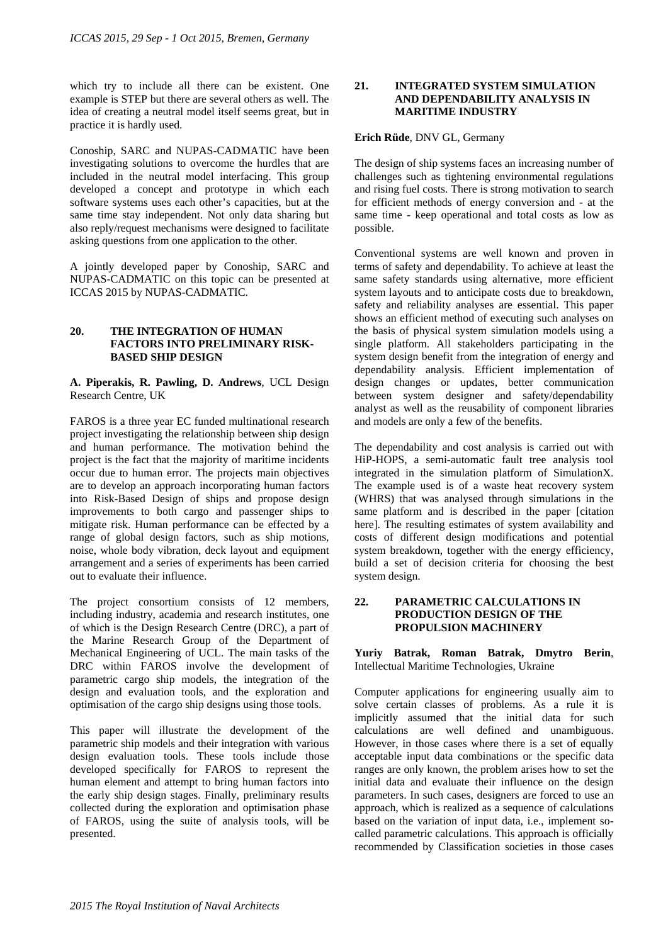which try to include all there can be existent. One example is STEP but there are several others as well. The idea of creating a neutral model itself seems great, but in practice it is hardly used.

Conoship, SARC and NUPAS-CADMATIC have been investigating solutions to overcome the hurdles that are included in the neutral model interfacing. This group developed a concept and prototype in which each software systems uses each other's capacities, but at the same time stay independent. Not only data sharing but also reply/request mechanisms were designed to facilitate asking questions from one application to the other.

A jointly developed paper by Conoship, SARC and NUPAS-CADMATIC on this topic can be presented at ICCAS 2015 by NUPAS-CADMATIC.

## **20. THE INTEGRATION OF HUMAN FACTORS INTO PRELIMINARY RISK-BASED SHIP DESIGN**

**A. Piperakis, R. Pawling, D. Andrews**, UCL Design Research Centre, UK

FAROS is a three year EC funded multinational research project investigating the relationship between ship design and human performance. The motivation behind the project is the fact that the majority of maritime incidents occur due to human error. The projects main objectives are to develop an approach incorporating human factors into Risk-Based Design of ships and propose design improvements to both cargo and passenger ships to mitigate risk. Human performance can be effected by a range of global design factors, such as ship motions, noise, whole body vibration, deck layout and equipment arrangement and a series of experiments has been carried out to evaluate their influence.

The project consortium consists of 12 members, including industry, academia and research institutes, one of which is the Design Research Centre (DRC), a part of the Marine Research Group of the Department of Mechanical Engineering of UCL. The main tasks of the DRC within FAROS involve the development of parametric cargo ship models, the integration of the design and evaluation tools, and the exploration and optimisation of the cargo ship designs using those tools.

This paper will illustrate the development of the parametric ship models and their integration with various design evaluation tools. These tools include those developed specifically for FAROS to represent the human element and attempt to bring human factors into the early ship design stages. Finally, preliminary results collected during the exploration and optimisation phase of FAROS, using the suite of analysis tools, will be presented.

## **21. INTEGRATED SYSTEM SIMULATION AND DEPENDABILITY ANALYSIS IN MARITIME INDUSTRY**

# **Erich Rüde**, DNV GL, Germany

The design of ship systems faces an increasing number of challenges such as tightening environmental regulations and rising fuel costs. There is strong motivation to search for efficient methods of energy conversion and - at the same time - keep operational and total costs as low as possible.

Conventional systems are well known and proven in terms of safety and dependability. To achieve at least the same safety standards using alternative, more efficient system layouts and to anticipate costs due to breakdown, safety and reliability analyses are essential. This paper shows an efficient method of executing such analyses on the basis of physical system simulation models using a single platform. All stakeholders participating in the system design benefit from the integration of energy and dependability analysis. Efficient implementation of design changes or updates, better communication between system designer and safety/dependability analyst as well as the reusability of component libraries and models are only a few of the benefits.

The dependability and cost analysis is carried out with HiP-HOPS, a semi-automatic fault tree analysis tool integrated in the simulation platform of SimulationX. The example used is of a waste heat recovery system (WHRS) that was analysed through simulations in the same platform and is described in the paper [citation here]. The resulting estimates of system availability and costs of different design modifications and potential system breakdown, together with the energy efficiency, build a set of decision criteria for choosing the best system design.

## **22. PARAMETRIC CALCULATIONS IN PRODUCTION DESIGN OF THE PROPULSION MACHINERY**

**Yuriy Batrak, Roman Batrak, Dmytro Berin**, Intellectual Maritime Technologies, Ukraine

Computer applications for engineering usually aim to solve certain classes of problems. As a rule it is implicitly assumed that the initial data for such calculations are well defined and unambiguous. However, in those cases where there is a set of equally acceptable input data combinations or the specific data ranges are only known, the problem arises how to set the initial data and evaluate their influence on the design parameters. In such cases, designers are forced to use an approach, which is realized as a sequence of calculations based on the variation of input data, i.e., implement socalled parametric calculations. This approach is officially recommended by Classification societies in those cases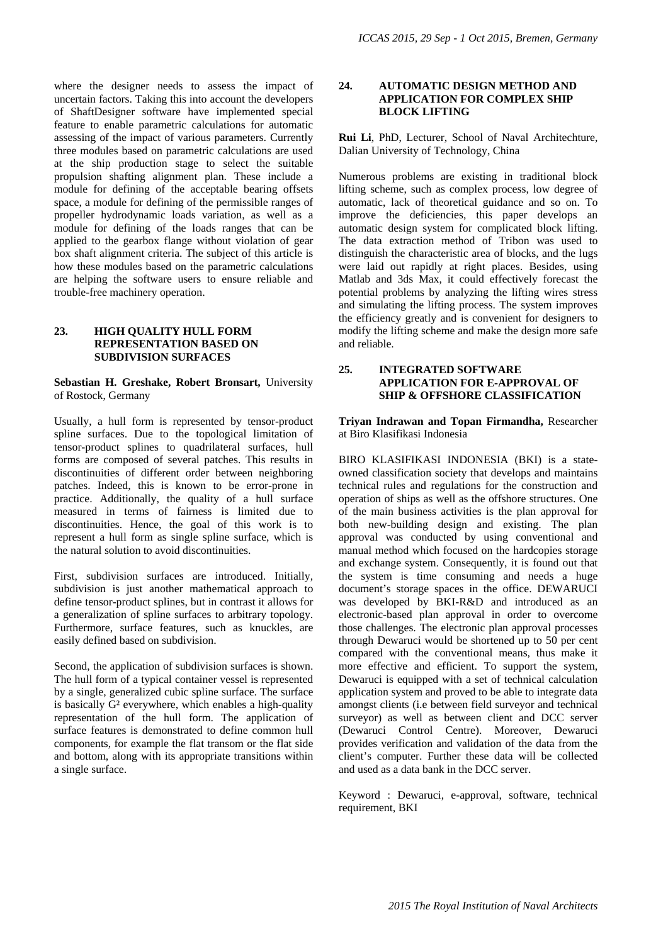where the designer needs to assess the impact of uncertain factors. Taking this into account the developers of ShaftDesigner software have implemented special feature to enable parametric calculations for automatic assessing of the impact of various parameters. Currently three modules based on parametric calculations are used at the ship production stage to select the suitable propulsion shafting alignment plan. These include a module for defining of the acceptable bearing offsets space, a module for defining of the permissible ranges of propeller hydrodynamic loads variation, as well as a module for defining of the loads ranges that can be applied to the gearbox flange without violation of gear box shaft alignment criteria. The subject of this article is how these modules based on the parametric calculations are helping the software users to ensure reliable and trouble-free machinery operation.

## **23. HIGH QUALITY HULL FORM REPRESENTATION BASED ON SUBDIVISION SURFACES**

#### **Sebastian H. Greshake, Robert Bronsart,** University of Rostock, Germany

Usually, a hull form is represented by tensor-product spline surfaces. Due to the topological limitation of tensor-product splines to quadrilateral surfaces, hull forms are composed of several patches. This results in discontinuities of different order between neighboring patches. Indeed, this is known to be error-prone in practice. Additionally, the quality of a hull surface measured in terms of fairness is limited due to discontinuities. Hence, the goal of this work is to represent a hull form as single spline surface, which is the natural solution to avoid discontinuities.

First, subdivision surfaces are introduced. Initially, subdivision is just another mathematical approach to define tensor-product splines, but in contrast it allows for a generalization of spline surfaces to arbitrary topology. Furthermore, surface features, such as knuckles, are easily defined based on subdivision.

Second, the application of subdivision surfaces is shown. The hull form of a typical container vessel is represented by a single, generalized cubic spline surface. The surface is basically G² everywhere, which enables a high-quality representation of the hull form. The application of surface features is demonstrated to define common hull components, for example the flat transom or the flat side and bottom, along with its appropriate transitions within a single surface.

### **24. AUTOMATIC DESIGN METHOD AND APPLICATION FOR COMPLEX SHIP BLOCK LIFTING**

**Rui Li**, PhD, Lecturer, School of Naval Architechture, Dalian University of Technology, China

Numerous problems are existing in traditional block lifting scheme, such as complex process, low degree of automatic, lack of theoretical guidance and so on. To improve the deficiencies, this paper develops an automatic design system for complicated block lifting. The data extraction method of Tribon was used to distinguish the characteristic area of blocks, and the lugs were laid out rapidly at right places. Besides, using Matlab and 3ds Max, it could effectively forecast the potential problems by analyzing the lifting wires stress and simulating the lifting process. The system improves the efficiency greatly and is convenient for designers to modify the lifting scheme and make the design more safe and reliable.

## **25. INTEGRATED SOFTWARE APPLICATION FOR E-APPROVAL OF SHIP & OFFSHORE CLASSIFICATION**

**Triyan Indrawan and Topan Firmandha,** Researcher at Biro Klasifikasi Indonesia

BIRO KLASIFIKASI INDONESIA (BKI) is a stateowned classification society that develops and maintains technical rules and regulations for the construction and operation of ships as well as the offshore structures. One of the main business activities is the plan approval for both new-building design and existing. The plan approval was conducted by using conventional and manual method which focused on the hardcopies storage and exchange system. Consequently, it is found out that the system is time consuming and needs a huge document's storage spaces in the office. DEWARUCI was developed by BKI-R&D and introduced as an electronic-based plan approval in order to overcome those challenges. The electronic plan approval processes through Dewaruci would be shortened up to 50 per cent compared with the conventional means, thus make it more effective and efficient. To support the system, Dewaruci is equipped with a set of technical calculation application system and proved to be able to integrate data amongst clients (i.e between field surveyor and technical surveyor) as well as between client and DCC server (Dewaruci Control Centre). Moreover, Dewaruci provides verification and validation of the data from the client's computer. Further these data will be collected and used as a data bank in the DCC server.

Keyword : Dewaruci, e-approval, software, technical requirement, BKI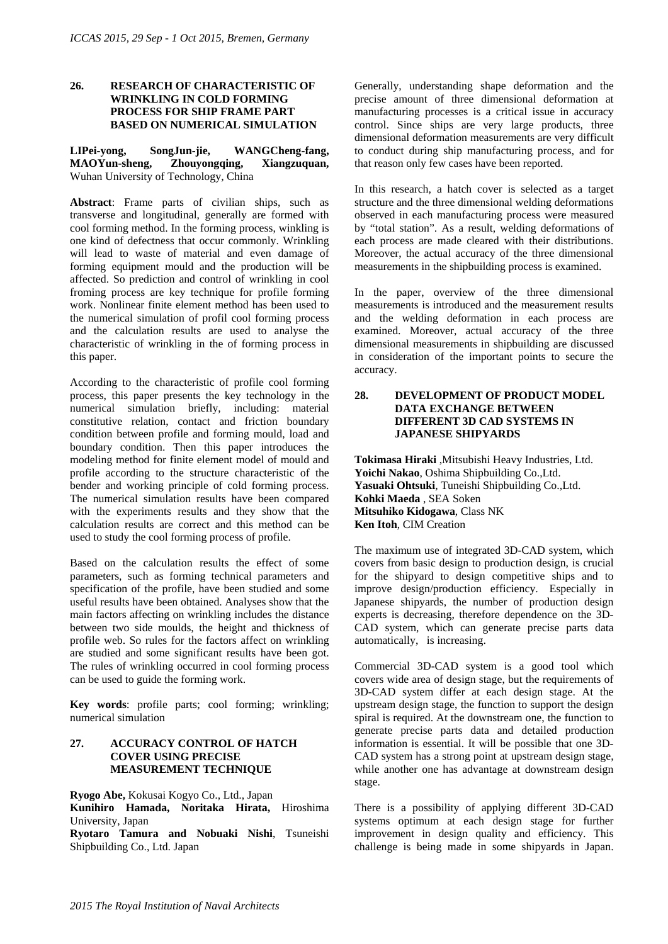## **26. RESEARCH OF CHARACTERISTIC OF WRINKLING IN COLD FORMING PROCESS FOR SHIP FRAME PART BASED ON NUMERICAL SIMULATION**

**LIPei-yong, SongJun-jie, WANGCheng-fang, MAOYun-sheng, Zhouyongqing, Xiangzuquan,**  Wuhan University of Technology, China

**Abstract**: Frame parts of civilian ships, such as transverse and longitudinal, generally are formed with cool forming method. In the forming process, winkling is one kind of defectness that occur commonly. Wrinkling will lead to waste of material and even damage of forming equipment mould and the production will be affected. So prediction and control of wrinkling in cool froming process are key technique for profile forming work. Nonlinear finite element method has been used to the numerical simulation of profil cool forming process and the calculation results are used to analyse the characteristic of wrinkling in the of forming process in this paper.

According to the characteristic of profile cool forming process, this paper presents the key technology in the numerical simulation briefly, including: material constitutive relation, contact and friction boundary condition between profile and forming mould, load and boundary condition. Then this paper introduces the modeling method for finite element model of mould and profile according to the structure characteristic of the bender and working principle of cold forming process. The numerical simulation results have been compared with the experiments results and they show that the calculation results are correct and this method can be used to study the cool forming process of profile.

Based on the calculation results the effect of some parameters, such as forming technical parameters and specification of the profile, have been studied and some useful results have been obtained. Analyses show that the main factors affecting on wrinkling includes the distance between two side moulds, the height and thickness of profile web. So rules for the factors affect on wrinkling are studied and some significant results have been got. The rules of wrinkling occurred in cool forming process can be used to guide the forming work.

**Key words**: profile parts; cool forming; wrinkling; numerical simulation

## **27. ACCURACY CONTROL OF HATCH COVER USING PRECISE MEASUREMENT TECHNIQUE**

**Ryogo Abe,** Kokusai Kogyo Co., Ltd., Japan

**Kunihiro Hamada, Noritaka Hirata,** Hiroshima University, Japan

**Ryotaro Tamura and Nobuaki Nishi**, Tsuneishi Shipbuilding Co., Ltd. Japan

Generally, understanding shape deformation and the precise amount of three dimensional deformation at manufacturing processes is a critical issue in accuracy control. Since ships are very large products, three dimensional deformation measurements are very difficult to conduct during ship manufacturing process, and for that reason only few cases have been reported.

In this research, a hatch cover is selected as a target structure and the three dimensional welding deformations observed in each manufacturing process were measured by "total station". As a result, welding deformations of each process are made cleared with their distributions. Moreover, the actual accuracy of the three dimensional measurements in the shipbuilding process is examined.

In the paper, overview of the three dimensional measurements is introduced and the measurement results and the welding deformation in each process are examined. Moreover, actual accuracy of the three dimensional measurements in shipbuilding are discussed in consideration of the important points to secure the accuracy.

### **28. DEVELOPMENT OF PRODUCT MODEL DATA EXCHANGE BETWEEN DIFFERENT 3D CAD SYSTEMS IN JAPANESE SHIPYARDS**

**Tokimasa Hiraki** ,Mitsubishi Heavy Industries, Ltd. **Yoichi Nakao**, Oshima Shipbuilding Co.,Ltd. **Yasuaki Ohtsuki**, Tuneishi Shipbuilding Co.,Ltd. **Kohki Maeda** , SEA Soken **Mitsuhiko Kidogawa**, Class NK **Ken Itoh**, CIM Creation

The maximum use of integrated 3D-CAD system, which covers from basic design to production design, is crucial for the shipyard to design competitive ships and to improve design/production efficiency. Especially in Japanese shipyards, the number of production design experts is decreasing, therefore dependence on the 3D-CAD system, which can generate precise parts data automatically, is increasing.

Commercial 3D-CAD system is a good tool which covers wide area of design stage, but the requirements of 3D-CAD system differ at each design stage. At the upstream design stage, the function to support the design spiral is required. At the downstream one, the function to generate precise parts data and detailed production information is essential. It will be possible that one 3D-CAD system has a strong point at upstream design stage, while another one has advantage at downstream design stage.

There is a possibility of applying different 3D-CAD systems optimum at each design stage for further improvement in design quality and efficiency. This challenge is being made in some shipyards in Japan.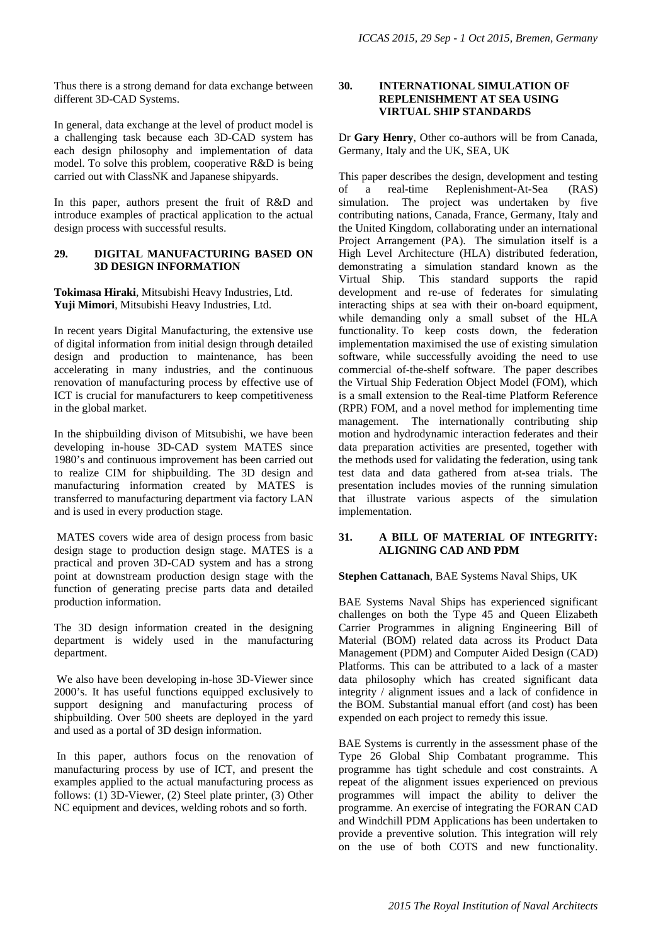Thus there is a strong demand for data exchange between different 3D-CAD Systems.

In general, data exchange at the level of product model is a challenging task because each 3D-CAD system has each design philosophy and implementation of data model. To solve this problem, cooperative R&D is being carried out with ClassNK and Japanese shipyards.

In this paper, authors present the fruit of R&D and introduce examples of practical application to the actual design process with successful results.

## **29. DIGITAL MANUFACTURING BASED ON 3D DESIGN INFORMATION**

**Tokimasa Hiraki**, Mitsubishi Heavy Industries, Ltd. **Yuji Mimori**, Mitsubishi Heavy Industries, Ltd.

In recent years Digital Manufacturing, the extensive use of digital information from initial design through detailed design and production to maintenance, has been accelerating in many industries, and the continuous renovation of manufacturing process by effective use of ICT is crucial for manufacturers to keep competitiveness in the global market.

In the shipbuilding divison of Mitsubishi, we have been developing in-house 3D-CAD system MATES since 1980's and continuous improvement has been carried out to realize CIM for shipbuilding. The 3D design and manufacturing information created by MATES is transferred to manufacturing department via factory LAN and is used in every production stage.

 MATES covers wide area of design process from basic design stage to production design stage. MATES is a practical and proven 3D-CAD system and has a strong point at downstream production design stage with the function of generating precise parts data and detailed production information.

The 3D design information created in the designing department is widely used in the manufacturing department.

 We also have been developing in-hose 3D-Viewer since 2000's. It has useful functions equipped exclusively to support designing and manufacturing process of shipbuilding. Over 500 sheets are deployed in the yard and used as a portal of 3D design information.

 In this paper, authors focus on the renovation of manufacturing process by use of ICT, and present the examples applied to the actual manufacturing process as follows: (1) 3D-Viewer, (2) Steel plate printer, (3) Other NC equipment and devices, welding robots and so forth.

## **30. INTERNATIONAL SIMULATION OF REPLENISHMENT AT SEA USING VIRTUAL SHIP STANDARDS**

Dr **Gary Henry**, Other co-authors will be from Canada, Germany, Italy and the UK, SEA, UK

This paper describes the design, development and testing of a real-time Replenishment-At-Sea (RAS) simulation. The project was undertaken by five contributing nations, Canada, France, Germany, Italy and the United Kingdom, collaborating under an international Project Arrangement (PA). The simulation itself is a High Level Architecture (HLA) distributed federation, demonstrating a simulation standard known as the Virtual Ship. This standard supports the rapid development and re-use of federates for simulating interacting ships at sea with their on-board equipment, while demanding only a small subset of the HLA functionality. To keep costs down, the federation implementation maximised the use of existing simulation software, while successfully avoiding the need to use commercial of-the-shelf software. The paper describes the Virtual Ship Federation Object Model (FOM), which is a small extension to the Real-time Platform Reference (RPR) FOM, and a novel method for implementing time management. The internationally contributing ship motion and hydrodynamic interaction federates and their data preparation activities are presented, together with the methods used for validating the federation, using tank test data and data gathered from at-sea trials. The presentation includes movies of the running simulation that illustrate various aspects of the simulation implementation.

#### **31. A BILL OF MATERIAL OF INTEGRITY: ALIGNING CAD AND PDM**

#### **Stephen Cattanach**, BAE Systems Naval Ships, UK

BAE Systems Naval Ships has experienced significant challenges on both the Type 45 and Queen Elizabeth Carrier Programmes in aligning Engineering Bill of Material (BOM) related data across its Product Data Management (PDM) and Computer Aided Design (CAD) Platforms. This can be attributed to a lack of a master data philosophy which has created significant data integrity / alignment issues and a lack of confidence in the BOM. Substantial manual effort (and cost) has been expended on each project to remedy this issue.

BAE Systems is currently in the assessment phase of the Type 26 Global Ship Combatant programme. This programme has tight schedule and cost constraints. A repeat of the alignment issues experienced on previous programmes will impact the ability to deliver the programme. An exercise of integrating the FORAN CAD and Windchill PDM Applications has been undertaken to provide a preventive solution. This integration will rely on the use of both COTS and new functionality.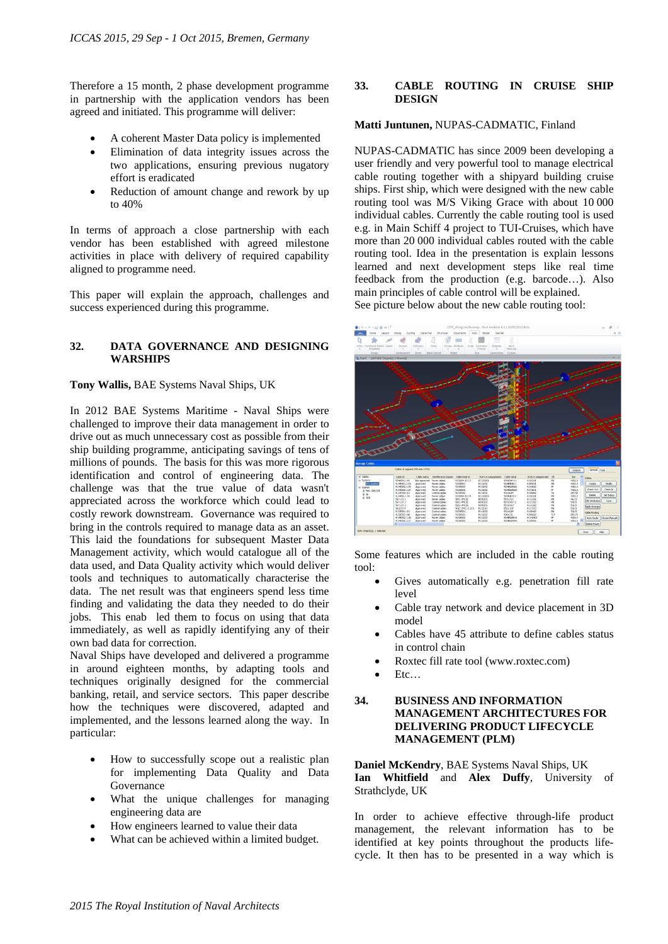Therefore a 15 month, 2 phase development programme in partnership with the application vendors has been agreed and initiated. This programme will deliver:

- A coherent Master Data policy is implemented
- Elimination of data integrity issues across the two applications, ensuring previous nugatory effort is eradicated
- Reduction of amount change and rework by up to 40%

In terms of approach a close partnership with each vendor has been established with agreed milestone activities in place with delivery of required capability aligned to programme need.

This paper will explain the approach, challenges and success experienced during this programme.

#### **32. DATA GOVERNANCE AND DESIGNING WARSHIPS**

#### **Tony Wallis,** BAE Systems Naval Ships, UK

In 2012 BAE Systems Maritime - Naval Ships were challenged to improve their data management in order to drive out as much unnecessary cost as possible from their ship building programme, anticipating savings of tens of millions of pounds. The basis for this was more rigorous identification and control of engineering data. The challenge was that the true value of data wasn't appreciated across the workforce which could lead to costly rework downstream. Governance was required to bring in the controls required to manage data as an asset. This laid the foundations for subsequent Master Data Management activity, which would catalogue all of the data used, and Data Quality activity which would deliver tools and techniques to automatically characterise the data. The net result was that engineers spend less time finding and validating the data they needed to do their jobs. This enab led them to focus on using that data immediately, as well as rapidly identifying any of their own bad data for correction.

Naval Ships have developed and delivered a programme in around eighteen months, by adapting tools and techniques originally designed for the commercial banking, retail, and service sectors. This paper describe how the techniques were discovered, adapted and implemented, and the lessons learned along the way. In particular:

- How to successfully scope out a realistic plan for implementing Data Quality and Data Governance
- What the unique challenges for managing engineering data are
- How engineers learned to value their data
- What can be achieved within a limited budget.

## **33. CABLE ROUTING IN CRUISE SHIP DESIGN**

#### **Matti Juntunen,** NUPAS-CADMATIC, Finland

NUPAS-CADMATIC has since 2009 been developing a user friendly and very powerful tool to manage electrical cable routing together with a shipyard building cruise ships. First ship, which were designed with the new cable routing tool was M/S Viking Grace with about 10 000 individual cables. Currently the cable routing tool is used e.g. in Main Schiff 4 project to TUI-Cruises, which have more than 20 000 individual cables routed with the cable routing tool. Idea in the presentation is explain lessons learned and next development steps like real time feedback from the production (e.g. barcode…). Also main principles of cable control will be explained. See picture below about the new cable routing tool:



Some features which are included in the cable routing tool:

- Gives automatically e.g. penetration fill rate level
- Cable tray network and device placement in 3D model
- Cables have 45 attribute to define cables status in control chain
- Roxtec fill rate tool (www.roxtec.com)
- Etc…

# **34. BUSINESS AND INFORMATION MANAGEMENT ARCHITECTURES FOR DELIVERING PRODUCT LIFECYCLE MANAGEMENT (PLM)**

**Daniel McKendry**, BAE Systems Naval Ships, UK **Ian Whitfield** and **Alex Duffy**, University of Strathclyde, UK

In order to achieve effective through-life product management, the relevant information has to be identified at key points throughout the products lifecycle. It then has to be presented in a way which is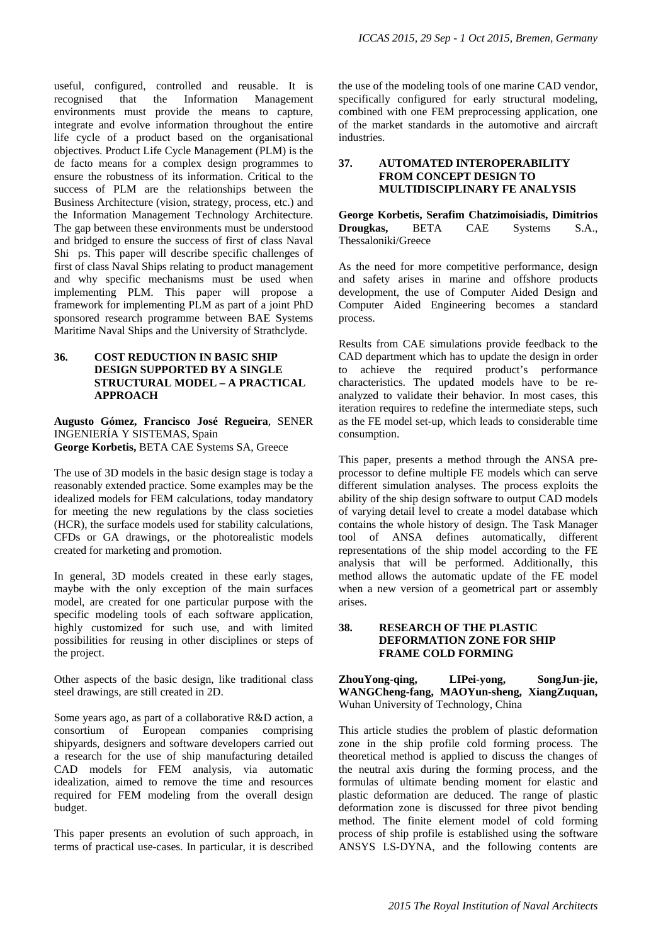useful, configured, controlled and reusable. It is recognised that the Information Management environments must provide the means to capture, integrate and evolve information throughout the entire life cycle of a product based on the organisational objectives. Product Life Cycle Management (PLM) is the de facto means for a complex design programmes to ensure the robustness of its information. Critical to the success of PLM are the relationships between the Business Architecture (vision, strategy, process, etc.) and the Information Management Technology Architecture. The gap between these environments must be understood and bridged to ensure the success of first of class Naval Shi ps. This paper will describe specific challenges of first of class Naval Ships relating to product management and why specific mechanisms must be used when implementing PLM. This paper will propose a framework for implementing PLM as part of a joint PhD sponsored research programme between BAE Systems Maritime Naval Ships and the University of Strathclyde.

### **36. COST REDUCTION IN BASIC SHIP DESIGN SUPPORTED BY A SINGLE STRUCTURAL MODEL – A PRACTICAL APPROACH**

**Augusto Gómez, Francisco José Regueira**, SENER INGENIERÍA Y SISTEMAS, Spain **George Korbetis,** BETA CAE Systems SA, Greece

The use of 3D models in the basic design stage is today a reasonably extended practice. Some examples may be the idealized models for FEM calculations, today mandatory for meeting the new regulations by the class societies (HCR), the surface models used for stability calculations, CFDs or GA drawings, or the photorealistic models created for marketing and promotion.

In general, 3D models created in these early stages, maybe with the only exception of the main surfaces model, are created for one particular purpose with the specific modeling tools of each software application, highly customized for such use, and with limited possibilities for reusing in other disciplines or steps of the project.

Other aspects of the basic design, like traditional class steel drawings, are still created in 2D.

Some years ago, as part of a collaborative R&D action, a consortium of European companies comprising shipyards, designers and software developers carried out a research for the use of ship manufacturing detailed CAD models for FEM analysis, via automatic idealization, aimed to remove the time and resources required for FEM modeling from the overall design budget.

This paper presents an evolution of such approach, in terms of practical use-cases. In particular, it is described the use of the modeling tools of one marine CAD vendor, specifically configured for early structural modeling, combined with one FEM preprocessing application, one of the market standards in the automotive and aircraft industries.

## **37. AUTOMATED INTEROPERABILITY FROM CONCEPT DESIGN TO MULTIDISCIPLINARY FE ANALYSIS**

**George Korbetis, Serafim Chatzimoisiadis, Dimitrios Drougkas,** BETA CAE Systems S.A., Thessaloniki/Greece

As the need for more competitive performance, design and safety arises in marine and offshore products development, the use of Computer Aided Design and Computer Aided Engineering becomes a standard process.

Results from CAE simulations provide feedback to the CAD department which has to update the design in order to achieve the required product's performance characteristics. The updated models have to be reanalyzed to validate their behavior. In most cases, this iteration requires to redefine the intermediate steps, such as the FE model set-up, which leads to considerable time consumption.

This paper, presents a method through the ANSA preprocessor to define multiple FE models which can serve different simulation analyses. The process exploits the ability of the ship design software to output CAD models of varying detail level to create a model database which contains the whole history of design. The Task Manager tool of ANSA defines automatically, different representations of the ship model according to the FE analysis that will be performed. Additionally, this method allows the automatic update of the FE model when a new version of a geometrical part or assembly arises.

## **38. RESEARCH OF THE PLASTIC DEFORMATION ZONE FOR SHIP FRAME COLD FORMING**

**ZhouYong-qing, LIPei-yong, SongJun-jie, WANGCheng-fang, MAOYun-sheng, XiangZuquan,**  Wuhan University of Technology, China

This article studies the problem of plastic deformation zone in the ship profile cold forming process. The theoretical method is applied to discuss the changes of the neutral axis during the forming process, and the formulas of ultimate bending moment for elastic and plastic deformation are deduced. The range of plastic deformation zone is discussed for three pivot bending method. The finite element model of cold forming process of ship profile is established using the software ANSYS LS-DYNA, and the following contents are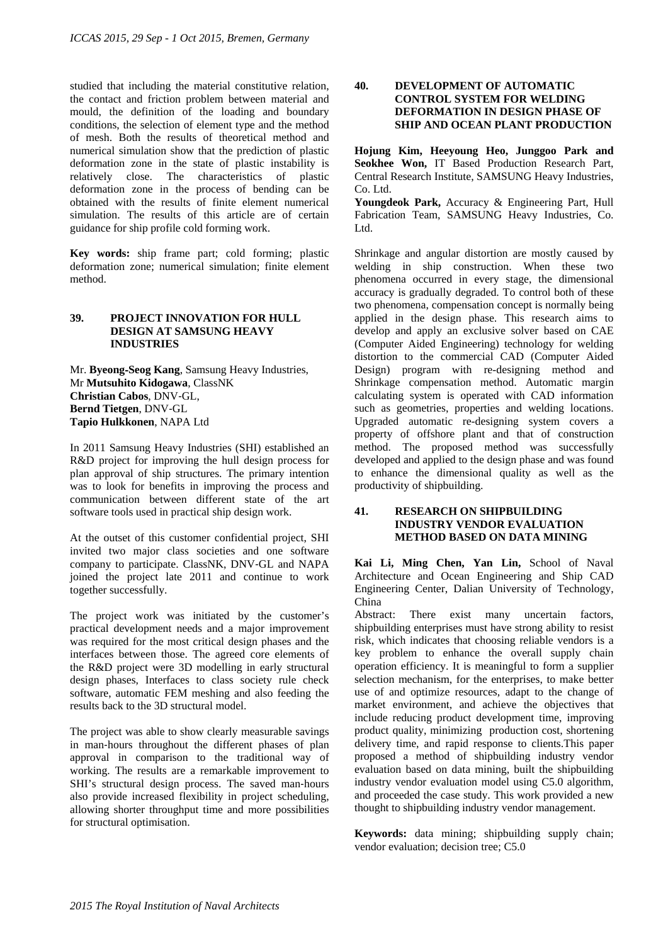studied that including the material constitutive relation, the contact and friction problem between material and mould, the definition of the loading and boundary conditions, the selection of element type and the method of mesh. Both the results of theoretical method and numerical simulation show that the prediction of plastic deformation zone in the state of plastic instability is relatively close. The characteristics of plastic deformation zone in the process of bending can be obtained with the results of finite element numerical simulation. The results of this article are of certain guidance for ship profile cold forming work.

**Key words:** ship frame part; cold forming; plastic deformation zone; numerical simulation; finite element method.

### **39. PROJECT INNOVATION FOR HULL DESIGN AT SAMSUNG HEAVY INDUSTRIES**

Mr. **Byeong**‐**Seog Kang**, Samsung Heavy Industries, Mr **Mutsuhito Kidogawa**, ClassNK **Christian Cabos**, DNV‐GL, **Bernd Tietgen**, DNV‐GL **Tapio Hulkkonen**, NAPA Ltd

In 2011 Samsung Heavy Industries (SHI) established an R&D project for improving the hull design process for plan approval of ship structures. The primary intention was to look for benefits in improving the process and communication between different state of the art software tools used in practical ship design work.

At the outset of this customer confidential project, SHI invited two major class societies and one software company to participate. ClassNK, DNV‐GL and NAPA joined the project late 2011 and continue to work together successfully.

The project work was initiated by the customer's practical development needs and a major improvement was required for the most critical design phases and the interfaces between those. The agreed core elements of the R&D project were 3D modelling in early structural design phases, Interfaces to class society rule check software, automatic FEM meshing and also feeding the results back to the 3D structural model.

The project was able to show clearly measurable savings in man-hours throughout the different phases of plan approval in comparison to the traditional way of working. The results are a remarkable improvement to SHI's structural design process. The saved man-hours also provide increased flexibility in project scheduling, allowing shorter throughput time and more possibilities for structural optimisation.

### **40. DEVELOPMENT OF AUTOMATIC CONTROL SYSTEM FOR WELDING DEFORMATION IN DESIGN PHASE OF SHIP AND OCEAN PLANT PRODUCTION**

**Hojung Kim, Heeyoung Heo, Junggoo Park and Seokhee Won,** IT Based Production Research Part, Central Research Institute, SAMSUNG Heavy Industries, Co. Ltd.

**Youngdeok Park,** Accuracy & Engineering Part, Hull Fabrication Team, SAMSUNG Heavy Industries, Co. Ltd.

Shrinkage and angular distortion are mostly caused by welding in ship construction. When these two phenomena occurred in every stage, the dimensional accuracy is gradually degraded. To control both of these two phenomena, compensation concept is normally being applied in the design phase. This research aims to develop and apply an exclusive solver based on CAE (Computer Aided Engineering) technology for welding distortion to the commercial CAD (Computer Aided Design) program with re-designing method and Shrinkage compensation method. Automatic margin calculating system is operated with CAD information such as geometries, properties and welding locations. Upgraded automatic re-designing system covers a property of offshore plant and that of construction method. The proposed method was successfully developed and applied to the design phase and was found to enhance the dimensional quality as well as the productivity of shipbuilding.

## **41. RESEARCH ON SHIPBUILDING INDUSTRY VENDOR EVALUATION METHOD BASED ON DATA MINING**

**Kai Li, Ming Chen, Yan Lin,** School of Naval Architecture and Ocean Engineering and Ship CAD Engineering Center, Dalian University of Technology, China

Abstract: There exist many uncertain factors, shipbuilding enterprises must have strong ability to resist risk, which indicates that choosing reliable vendors is a key problem to enhance the overall supply chain operation efficiency. It is meaningful to form a supplier selection mechanism, for the enterprises, to make better use of and optimize resources, adapt to the change of market environment, and achieve the objectives that include reducing product development time, improving product quality, minimizing production cost, shortening delivery time, and rapid response to clients.This paper proposed a method of shipbuilding industry vendor evaluation based on data mining, built the shipbuilding industry vendor evaluation model using C5.0 algorithm, and proceeded the case study. This work provided a new thought to shipbuilding industry vendor management.

**Keywords:** data mining; shipbuilding supply chain; vendor evaluation; decision tree; C5.0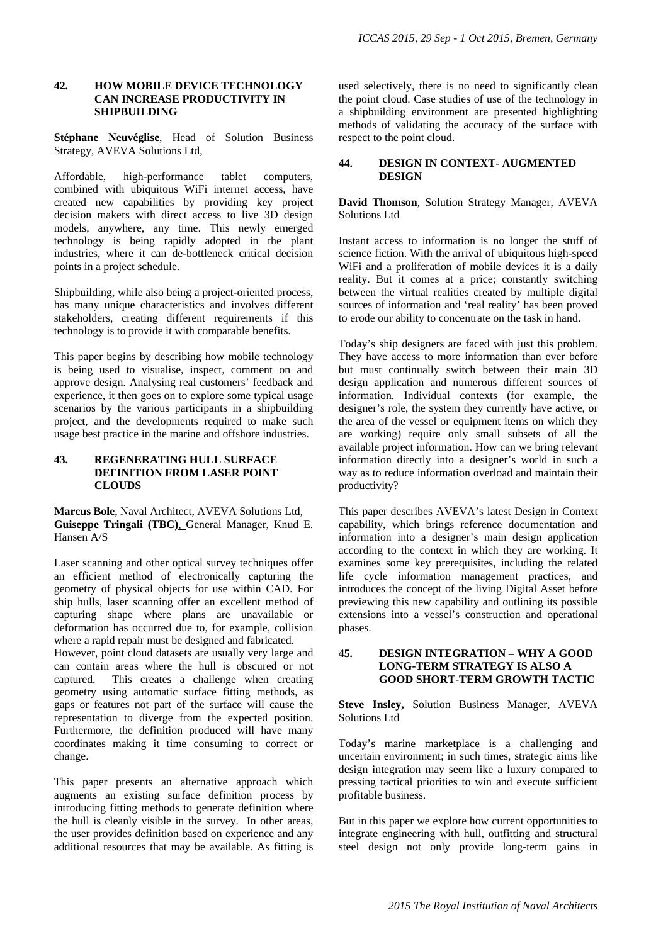### **42. HOW MOBILE DEVICE TECHNOLOGY CAN INCREASE PRODUCTIVITY IN SHIPBUILDING**

**Stéphane Neuvéglise**, Head of Solution Business Strategy, AVEVA Solutions Ltd,

Affordable, high-performance tablet computers, combined with ubiquitous WiFi internet access, have created new capabilities by providing key project decision makers with direct access to live 3D design models, anywhere, any time. This newly emerged technology is being rapidly adopted in the plant industries, where it can de-bottleneck critical decision points in a project schedule.

Shipbuilding, while also being a project-oriented process, has many unique characteristics and involves different stakeholders, creating different requirements if this technology is to provide it with comparable benefits.

This paper begins by describing how mobile technology is being used to visualise, inspect, comment on and approve design. Analysing real customers' feedback and experience, it then goes on to explore some typical usage scenarios by the various participants in a shipbuilding project, and the developments required to make such usage best practice in the marine and offshore industries.

#### **43. REGENERATING HULL SURFACE DEFINITION FROM LASER POINT CLOUDS**

**Marcus Bole**, Naval Architect, AVEVA Solutions Ltd, **Guiseppe Tringali (TBC)**, General Manager, Knud E. Hansen A/S

Laser scanning and other optical survey techniques offer an efficient method of electronically capturing the geometry of physical objects for use within CAD. For ship hulls, laser scanning offer an excellent method of capturing shape where plans are unavailable or deformation has occurred due to, for example, collision where a rapid repair must be designed and fabricated.

However, point cloud datasets are usually very large and can contain areas where the hull is obscured or not captured. This creates a challenge when creating geometry using automatic surface fitting methods, as gaps or features not part of the surface will cause the representation to diverge from the expected position. Furthermore, the definition produced will have many coordinates making it time consuming to correct or change.

This paper presents an alternative approach which augments an existing surface definition process by introducing fitting methods to generate definition where the hull is cleanly visible in the survey. In other areas, the user provides definition based on experience and any additional resources that may be available. As fitting is

used selectively, there is no need to significantly clean the point cloud. Case studies of use of the technology in a shipbuilding environment are presented highlighting methods of validating the accuracy of the surface with respect to the point cloud.

### **44. DESIGN IN CONTEXT- AUGMENTED DESIGN**

**David Thomson**, Solution Strategy Manager, AVEVA Solutions Ltd

Instant access to information is no longer the stuff of science fiction. With the arrival of ubiquitous high-speed WiFi and a proliferation of mobile devices it is a daily reality. But it comes at a price; constantly switching between the virtual realities created by multiple digital sources of information and 'real reality' has been proved to erode our ability to concentrate on the task in hand.

Today's ship designers are faced with just this problem. They have access to more information than ever before but must continually switch between their main 3D design application and numerous different sources of information. Individual contexts (for example, the designer's role, the system they currently have active, or the area of the vessel or equipment items on which they are working) require only small subsets of all the available project information. How can we bring relevant information directly into a designer's world in such a way as to reduce information overload and maintain their productivity?

This paper describes AVEVA's latest Design in Context capability, which brings reference documentation and information into a designer's main design application according to the context in which they are working. It examines some key prerequisites, including the related life cycle information management practices, and introduces the concept of the living Digital Asset before previewing this new capability and outlining its possible extensions into a vessel's construction and operational phases.

## **45. DESIGN INTEGRATION – WHY A GOOD LONG-TERM STRATEGY IS ALSO A GOOD SHORT-TERM GROWTH TACTIC**

**Steve Insley,** Solution Business Manager, AVEVA Solutions Ltd

Today's marine marketplace is a challenging and uncertain environment; in such times, strategic aims like design integration may seem like a luxury compared to pressing tactical priorities to win and execute sufficient profitable business.

But in this paper we explore how current opportunities to integrate engineering with hull, outfitting and structural steel design not only provide long-term gains in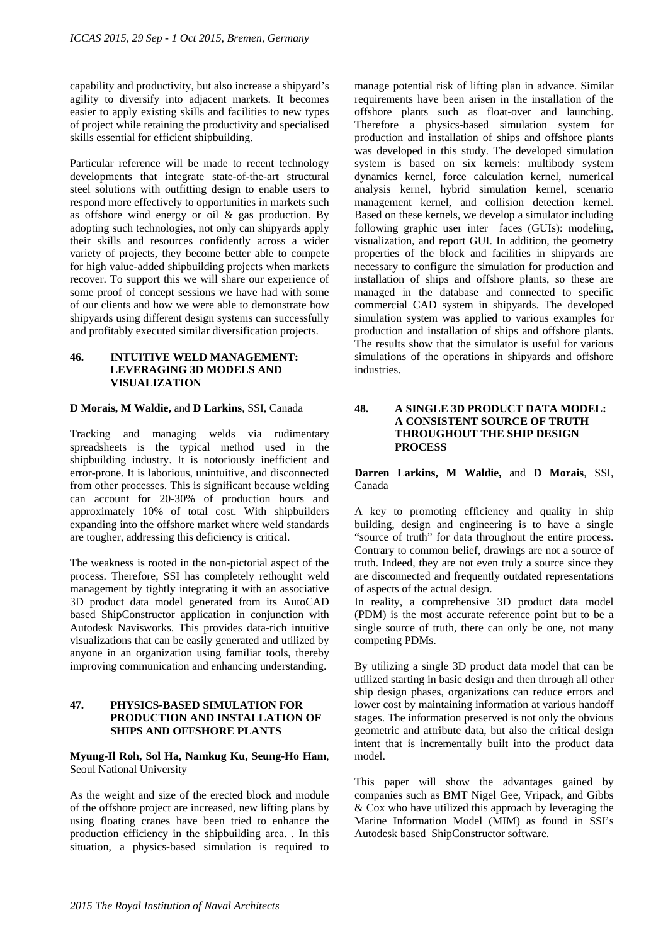capability and productivity, but also increase a shipyard's agility to diversify into adjacent markets. It becomes easier to apply existing skills and facilities to new types of project while retaining the productivity and specialised skills essential for efficient shipbuilding.

Particular reference will be made to recent technology developments that integrate state-of-the-art structural steel solutions with outfitting design to enable users to respond more effectively to opportunities in markets such as offshore wind energy or oil & gas production. By adopting such technologies, not only can shipyards apply their skills and resources confidently across a wider variety of projects, they become better able to compete for high value-added shipbuilding projects when markets recover. To support this we will share our experience of some proof of concept sessions we have had with some of our clients and how we were able to demonstrate how shipyards using different design systems can successfully and profitably executed similar diversification projects.

### **46. INTUITIVE WELD MANAGEMENT: LEVERAGING 3D MODELS AND VISUALIZATION**

#### **D Morais, M Waldie,** and **D Larkins**, SSI, Canada

Tracking and managing welds via rudimentary spreadsheets is the typical method used in the shipbuilding industry. It is notoriously inefficient and error-prone. It is laborious, unintuitive, and disconnected from other processes. This is significant because welding can account for 20-30% of production hours and approximately 10% of total cost. With shipbuilders expanding into the offshore market where weld standards are tougher, addressing this deficiency is critical.

The weakness is rooted in the non-pictorial aspect of the process. Therefore, SSI has completely rethought weld management by tightly integrating it with an associative 3D product data model generated from its AutoCAD based ShipConstructor application in conjunction with Autodesk Navisworks. This provides data-rich intuitive visualizations that can be easily generated and utilized by anyone in an organization using familiar tools, thereby improving communication and enhancing understanding.

## **47. PHYSICS-BASED SIMULATION FOR PRODUCTION AND INSTALLATION OF SHIPS AND OFFSHORE PLANTS**

## **Myung-Il Roh, Sol Ha, Namkug Ku, Seung-Ho Ham**, Seoul National University

As the weight and size of the erected block and module of the offshore project are increased, new lifting plans by using floating cranes have been tried to enhance the production efficiency in the shipbuilding area. . In this situation, a physics-based simulation is required to

manage potential risk of lifting plan in advance. Similar requirements have been arisen in the installation of the offshore plants such as float-over and launching. Therefore a physics-based simulation system for production and installation of ships and offshore plants was developed in this study. The developed simulation system is based on six kernels: multibody system dynamics kernel, force calculation kernel, numerical analysis kernel, hybrid simulation kernel, scenario management kernel, and collision detection kernel. Based on these kernels, we develop a simulator including following graphic user inter faces (GUIs): modeling, visualization, and report GUI. In addition, the geometry properties of the block and facilities in shipyards are necessary to configure the simulation for production and installation of ships and offshore plants, so these are managed in the database and connected to specific commercial CAD system in shipyards. The developed simulation system was applied to various examples for production and installation of ships and offshore plants. The results show that the simulator is useful for various simulations of the operations in shipyards and offshore industries.

#### **48. A SINGLE 3D PRODUCT DATA MODEL: A CONSISTENT SOURCE OF TRUTH THROUGHOUT THE SHIP DESIGN PROCESS**

#### **Darren Larkins, M Waldie,** and **D Morais**, SSI, Canada

A key to promoting efficiency and quality in ship building, design and engineering is to have a single "source of truth" for data throughout the entire process. Contrary to common belief, drawings are not a source of truth. Indeed, they are not even truly a source since they are disconnected and frequently outdated representations of aspects of the actual design.

In reality, a comprehensive 3D product data model (PDM) is the most accurate reference point but to be a single source of truth, there can only be one, not many competing PDMs.

By utilizing a single 3D product data model that can be utilized starting in basic design and then through all other ship design phases, organizations can reduce errors and lower cost by maintaining information at various handoff stages. The information preserved is not only the obvious geometric and attribute data, but also the critical design intent that is incrementally built into the product data model.

This paper will show the advantages gained by companies such as BMT Nigel Gee, Vripack, and Gibbs & Cox who have utilized this approach by leveraging the Marine Information Model (MIM) as found in SSI's Autodesk based ShipConstructor software.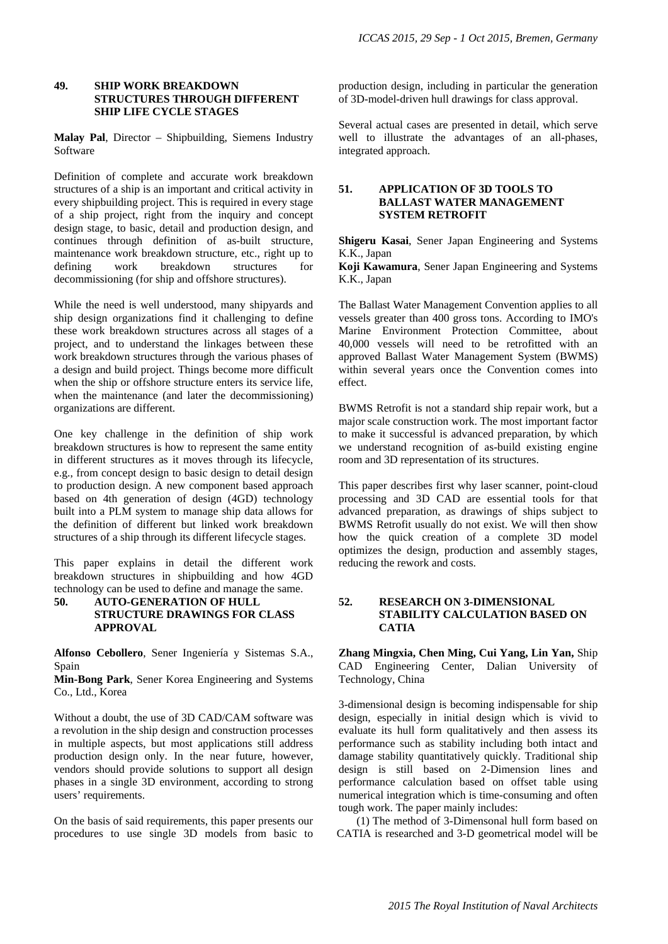### **49. SHIP WORK BREAKDOWN STRUCTURES THROUGH DIFFERENT SHIP LIFE CYCLE STAGES**

**Malay Pal**, Director – Shipbuilding, Siemens Industry Software

Definition of complete and accurate work breakdown structures of a ship is an important and critical activity in every shipbuilding project. This is required in every stage of a ship project, right from the inquiry and concept design stage, to basic, detail and production design, and continues through definition of as-built structure, maintenance work breakdown structure, etc., right up to defining work breakdown structures for decommissioning (for ship and offshore structures).

While the need is well understood, many shipyards and ship design organizations find it challenging to define these work breakdown structures across all stages of a project, and to understand the linkages between these work breakdown structures through the various phases of a design and build project. Things become more difficult when the ship or offshore structure enters its service life, when the maintenance (and later the decommissioning) organizations are different.

One key challenge in the definition of ship work breakdown structures is how to represent the same entity in different structures as it moves through its lifecycle, e.g., from concept design to basic design to detail design to production design. A new component based approach based on 4th generation of design (4GD) technology built into a PLM system to manage ship data allows for the definition of different but linked work breakdown structures of a ship through its different lifecycle stages.

This paper explains in detail the different work breakdown structures in shipbuilding and how 4GD technology can be used to define and manage the same.

#### **50. AUTO-GENERATION OF HULL STRUCTURE DRAWINGS FOR CLASS APPROVAL**

**Alfonso Cebollero**, Sener Ingeniería y Sistemas S.A., Spain

**Min-Bong Park**, Sener Korea Engineering and Systems Co., Ltd., Korea

Without a doubt, the use of 3D CAD/CAM software was a revolution in the ship design and construction processes in multiple aspects, but most applications still address production design only. In the near future, however, vendors should provide solutions to support all design phases in a single 3D environment, according to strong users' requirements.

On the basis of said requirements, this paper presents our procedures to use single 3D models from basic to production design, including in particular the generation of 3D-model-driven hull drawings for class approval.

Several actual cases are presented in detail, which serve well to illustrate the advantages of an all-phases, integrated approach.

## **51. APPLICATION OF 3D TOOLS TO BALLAST WATER MANAGEMENT SYSTEM RETROFIT**

**Shigeru Kasai**, Sener Japan Engineering and Systems K.K., Japan

**Koji Kawamura**, Sener Japan Engineering and Systems K.K., Japan

The Ballast Water Management Convention applies to all vessels greater than 400 gross tons. According to IMO's Marine Environment Protection Committee, about 40,000 vessels will need to be retrofitted with an approved Ballast Water Management System (BWMS) within several years once the Convention comes into effect.

BWMS Retrofit is not a standard ship repair work, but a major scale construction work. The most important factor to make it successful is advanced preparation, by which we understand recognition of as-build existing engine room and 3D representation of its structures.

This paper describes first why laser scanner, point-cloud processing and 3D CAD are essential tools for that advanced preparation, as drawings of ships subject to BWMS Retrofit usually do not exist. We will then show how the quick creation of a complete 3D model optimizes the design, production and assembly stages, reducing the rework and costs.

## **52. RESEARCH ON 3-DIMENSIONAL STABILITY CALCULATION BASED ON CATIA**

**Zhang Mingxia, Chen Ming, Cui Yang, Lin Yan,** Ship CAD Engineering Center, Dalian University of Technology, China

3-dimensional design is becoming indispensable for ship design, especially in initial design which is vivid to evaluate its hull form qualitatively and then assess its performance such as stability including both intact and damage stability quantitatively quickly. Traditional ship design is still based on 2-Dimension lines and performance calculation based on offset table using numerical integration which is time-consuming and often tough work. The paper mainly includes:

(1) The method of 3-Dimensonal hull form based on CATIA is researched and 3-D geometrical model will be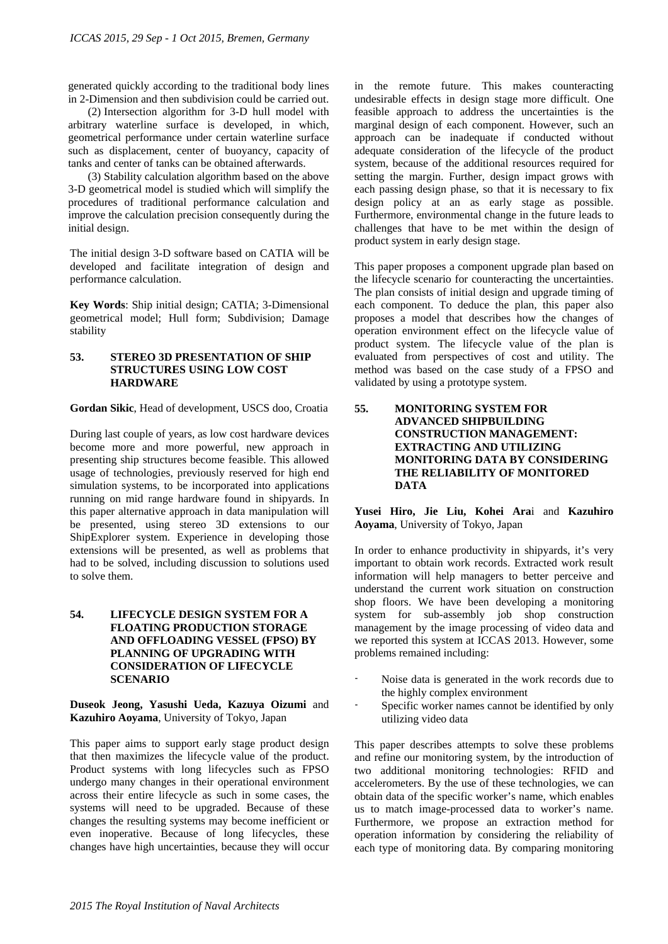generated quickly according to the traditional body lines in 2-Dimension and then subdivision could be carried out.

(2) Intersection algorithm for 3-D hull model with arbitrary waterline surface is developed, in which, geometrical performance under certain waterline surface such as displacement, center of buoyancy, capacity of tanks and center of tanks can be obtained afterwards.

(3) Stability calculation algorithm based on the above 3-D geometrical model is studied which will simplify the procedures of traditional performance calculation and improve the calculation precision consequently during the initial design.

The initial design 3-D software based on CATIA will be developed and facilitate integration of design and performance calculation.

**Key Words**: Ship initial design; CATIA; 3-Dimensional geometrical model; Hull form; Subdivision; Damage stability

### **53. STEREO 3D PRESENTATION OF SHIP STRUCTURES USING LOW COST HARDWARE**

**Gordan Sikic**, Head of development, USCS doo, Croatia

During last couple of years, as low cost hardware devices become more and more powerful, new approach in presenting ship structures become feasible. This allowed usage of technologies, previously reserved for high end simulation systems, to be incorporated into applications running on mid range hardware found in shipyards. In this paper alternative approach in data manipulation will be presented, using stereo 3D extensions to our ShipExplorer system. Experience in developing those extensions will be presented, as well as problems that had to be solved, including discussion to solutions used to solve them.

## **54. LIFECYCLE DESIGN SYSTEM FOR A FLOATING PRODUCTION STORAGE AND OFFLOADING VESSEL (FPSO) BY PLANNING OF UPGRADING WITH CONSIDERATION OF LIFECYCLE SCENARIO**

**Duseok Jeong, Yasushi Ueda, Kazuya Oizumi** and **Kazuhiro Aoyama**, University of Tokyo, Japan

This paper aims to support early stage product design that then maximizes the lifecycle value of the product. Product systems with long lifecycles such as FPSO undergo many changes in their operational environment across their entire lifecycle as such in some cases, the systems will need to be upgraded. Because of these changes the resulting systems may become inefficient or even inoperative. Because of long lifecycles, these changes have high uncertainties, because they will occur

in the remote future. This makes counteracting undesirable effects in design stage more difficult. One feasible approach to address the uncertainties is the marginal design of each component. However, such an approach can be inadequate if conducted without adequate consideration of the lifecycle of the product system, because of the additional resources required for setting the margin. Further, design impact grows with each passing design phase, so that it is necessary to fix design policy at an as early stage as possible. Furthermore, environmental change in the future leads to challenges that have to be met within the design of product system in early design stage.

This paper proposes a component upgrade plan based on the lifecycle scenario for counteracting the uncertainties. The plan consists of initial design and upgrade timing of each component. To deduce the plan, this paper also proposes a model that describes how the changes of operation environment effect on the lifecycle value of product system. The lifecycle value of the plan is evaluated from perspectives of cost and utility. The method was based on the case study of a FPSO and validated by using a prototype system.

### **55. MONITORING SYSTEM FOR ADVANCED SHIPBUILDING CONSTRUCTION MANAGEMENT: EXTRACTING AND UTILIZING MONITORING DATA BY CONSIDERING THE RELIABILITY OF MONITORED DATA**

**Yusei Hiro, Jie Liu, Kohei Ara**i and **Kazuhiro Aoyama**, University of Tokyo, Japan

In order to enhance productivity in shipyards, it's very important to obtain work records. Extracted work result information will help managers to better perceive and understand the current work situation on construction shop floors. We have been developing a monitoring system for sub-assembly job shop construction management by the image processing of video data and we reported this system at ICCAS 2013. However, some problems remained including:

- Noise data is generated in the work records due to the highly complex environment
- Specific worker names cannot be identified by only utilizing video data

This paper describes attempts to solve these problems and refine our monitoring system, by the introduction of two additional monitoring technologies: RFID and accelerometers. By the use of these technologies, we can obtain data of the specific worker's name, which enables us to match image-processed data to worker's name. Furthermore, we propose an extraction method for operation information by considering the reliability of each type of monitoring data. By comparing monitoring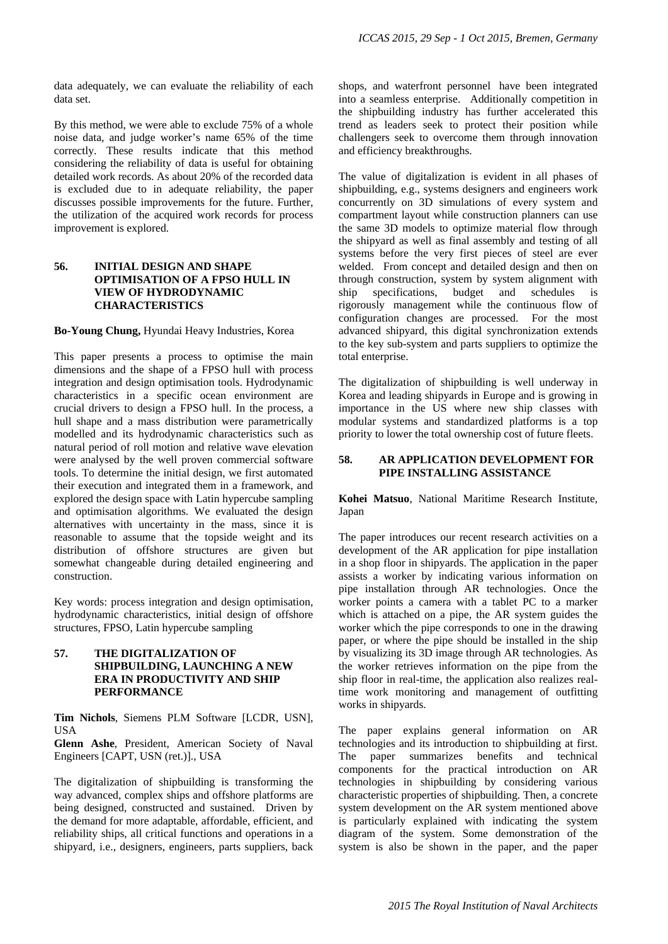data adequately, we can evaluate the reliability of each data set.

By this method, we were able to exclude 75% of a whole noise data, and judge worker's name 65% of the time correctly. These results indicate that this method considering the reliability of data is useful for obtaining detailed work records. As about 20% of the recorded data is excluded due to in adequate reliability, the paper discusses possible improvements for the future. Further, the utilization of the acquired work records for process improvement is explored.

### **56. INITIAL DESIGN AND SHAPE OPTIMISATION OF A FPSO HULL IN VIEW OF HYDRODYNAMIC CHARACTERISTICS**

#### **Bo-Young Chung,** Hyundai Heavy Industries, Korea

This paper presents a process to optimise the main dimensions and the shape of a FPSO hull with process integration and design optimisation tools. Hydrodynamic characteristics in a specific ocean environment are crucial drivers to design a FPSO hull. In the process, a hull shape and a mass distribution were parametrically modelled and its hydrodynamic characteristics such as natural period of roll motion and relative wave elevation were analysed by the well proven commercial software tools. To determine the initial design, we first automated their execution and integrated them in a framework, and explored the design space with Latin hypercube sampling and optimisation algorithms. We evaluated the design alternatives with uncertainty in the mass, since it is reasonable to assume that the topside weight and its distribution of offshore structures are given but somewhat changeable during detailed engineering and construction.

Key words: process integration and design optimisation, hydrodynamic characteristics, initial design of offshore structures, FPSO, Latin hypercube sampling

### **57. THE DIGITALIZATION OF SHIPBUILDING, LAUNCHING A NEW ERA IN PRODUCTIVITY AND SHIP PERFORMANCE**

**Tim Nichols**, Siemens PLM Software [LCDR, USN], USA

**Glenn Ashe**, President, American Society of Naval Engineers [CAPT, USN (ret.)]., USA

The digitalization of shipbuilding is transforming the way advanced, complex ships and offshore platforms are being designed, constructed and sustained. Driven by the demand for more adaptable, affordable, efficient, and reliability ships, all critical functions and operations in a shipyard, i.e., designers, engineers, parts suppliers, back

shops, and waterfront personnel have been integrated into a seamless enterprise. Additionally competition in the shipbuilding industry has further accelerated this trend as leaders seek to protect their position while challengers seek to overcome them through innovation and efficiency breakthroughs.

The value of digitalization is evident in all phases of shipbuilding, e.g., systems designers and engineers work concurrently on 3D simulations of every system and compartment layout while construction planners can use the same 3D models to optimize material flow through the shipyard as well as final assembly and testing of all systems before the very first pieces of steel are ever welded. From concept and detailed design and then on through construction, system by system alignment with ship specifications, budget and schedules is rigorously management while the continuous flow of configuration changes are processed. For the most advanced shipyard, this digital synchronization extends to the key sub-system and parts suppliers to optimize the total enterprise.

The digitalization of shipbuilding is well underway in Korea and leading shipyards in Europe and is growing in importance in the US where new ship classes with modular systems and standardized platforms is a top priority to lower the total ownership cost of future fleets.

### **58. AR APPLICATION DEVELOPMENT FOR PIPE INSTALLING ASSISTANCE**

**Kohei Matsuo**, National Maritime Research Institute, Japan

The paper introduces our recent research activities on a development of the AR application for pipe installation in a shop floor in shipyards. The application in the paper assists a worker by indicating various information on pipe installation through AR technologies. Once the worker points a camera with a tablet PC to a marker which is attached on a pipe, the AR system guides the worker which the pipe corresponds to one in the drawing paper, or where the pipe should be installed in the ship by visualizing its 3D image through AR technologies. As the worker retrieves information on the pipe from the ship floor in real-time, the application also realizes realtime work monitoring and management of outfitting works in shipyards.

The paper explains general information on AR technologies and its introduction to shipbuilding at first. The paper summarizes benefits and technical components for the practical introduction on AR technologies in shipbuilding by considering various characteristic properties of shipbuilding. Then, a concrete system development on the AR system mentioned above is particularly explained with indicating the system diagram of the system. Some demonstration of the system is also be shown in the paper, and the paper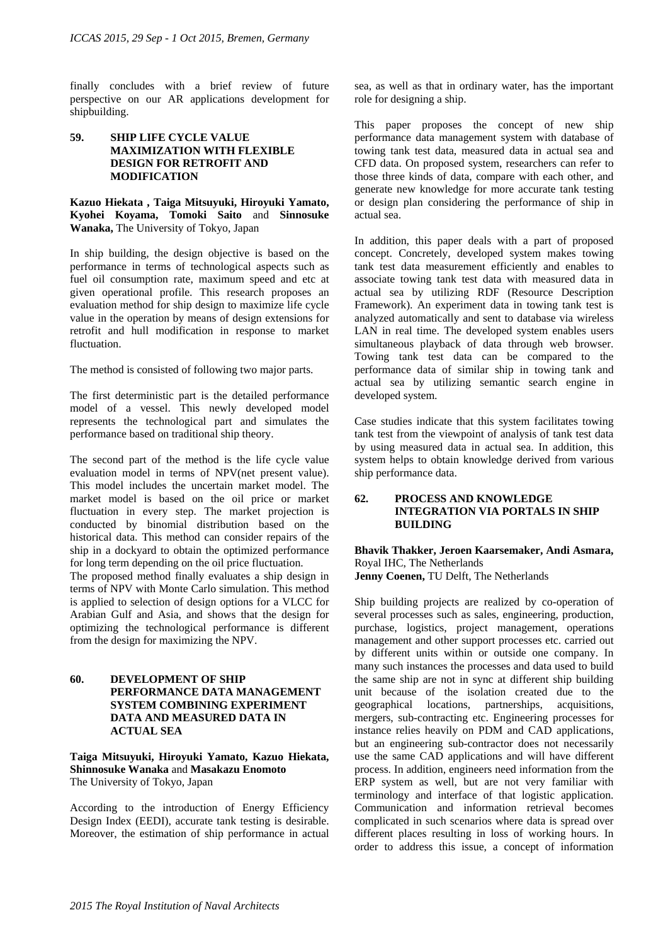finally concludes with a brief review of future perspective on our AR applications development for shipbuilding.

### **59. SHIP LIFE CYCLE VALUE MAXIMIZATION WITH FLEXIBLE DESIGN FOR RETROFIT AND MODIFICATION**

**Kazuo Hiekata , Taiga Mitsuyuki, Hiroyuki Yamato, Kyohei Koyama, Tomoki Saito** and **Sinnosuke Wanaka,** The University of Tokyo, Japan

In ship building, the design objective is based on the performance in terms of technological aspects such as fuel oil consumption rate, maximum speed and etc at given operational profile. This research proposes an evaluation method for ship design to maximize life cycle value in the operation by means of design extensions for retrofit and hull modification in response to market fluctuation.

The method is consisted of following two major parts.

The first deterministic part is the detailed performance model of a vessel. This newly developed model represents the technological part and simulates the performance based on traditional ship theory.

The second part of the method is the life cycle value evaluation model in terms of NPV(net present value). This model includes the uncertain market model. The market model is based on the oil price or market fluctuation in every step. The market projection is conducted by binomial distribution based on the historical data. This method can consider repairs of the ship in a dockyard to obtain the optimized performance for long term depending on the oil price fluctuation.

The proposed method finally evaluates a ship design in terms of NPV with Monte Carlo simulation. This method is applied to selection of design options for a VLCC for Arabian Gulf and Asia, and shows that the design for optimizing the technological performance is different from the design for maximizing the NPV.

## **60. DEVELOPMENT OF SHIP PERFORMANCE DATA MANAGEMENT SYSTEM COMBINING EXPERIMENT DATA AND MEASURED DATA IN ACTUAL SEA**

**Taiga Mitsuyuki, Hiroyuki Yamato, Kazuo Hiekata, Shinnosuke Wanaka** and **Masakazu Enomoto** The University of Tokyo, Japan

According to the introduction of Energy Efficiency Design Index (EEDI), accurate tank testing is desirable. Moreover, the estimation of ship performance in actual sea, as well as that in ordinary water, has the important role for designing a ship.

This paper proposes the concept of new ship performance data management system with database of towing tank test data, measured data in actual sea and CFD data. On proposed system, researchers can refer to those three kinds of data, compare with each other, and generate new knowledge for more accurate tank testing or design plan considering the performance of ship in actual sea.

In addition, this paper deals with a part of proposed concept. Concretely, developed system makes towing tank test data measurement efficiently and enables to associate towing tank test data with measured data in actual sea by utilizing RDF (Resource Description Framework). An experiment data in towing tank test is analyzed automatically and sent to database via wireless LAN in real time. The developed system enables users simultaneous playback of data through web browser. Towing tank test data can be compared to the performance data of similar ship in towing tank and actual sea by utilizing semantic search engine in developed system.

Case studies indicate that this system facilitates towing tank test from the viewpoint of analysis of tank test data by using measured data in actual sea. In addition, this system helps to obtain knowledge derived from various ship performance data.

## **62. PROCESS AND KNOWLEDGE INTEGRATION VIA PORTALS IN SHIP BUILDING**

#### **Bhavik Thakker, Jeroen Kaarsemaker, Andi Asmara,**  Royal IHC, The Netherlands **Jenny Coenen,** TU Delft, The Netherlands

Ship building projects are realized by co-operation of several processes such as sales, engineering, production, purchase, logistics, project management, operations management and other support processes etc. carried out by different units within or outside one company. In many such instances the processes and data used to build the same ship are not in sync at different ship building unit because of the isolation created due to the geographical locations, partnerships, acquisitions, mergers, sub-contracting etc. Engineering processes for instance relies heavily on PDM and CAD applications, but an engineering sub-contractor does not necessarily use the same CAD applications and will have different process. In addition, engineers need information from the ERP system as well, but are not very familiar with terminology and interface of that logistic application. Communication and information retrieval becomes complicated in such scenarios where data is spread over different places resulting in loss of working hours. In order to address this issue, a concept of information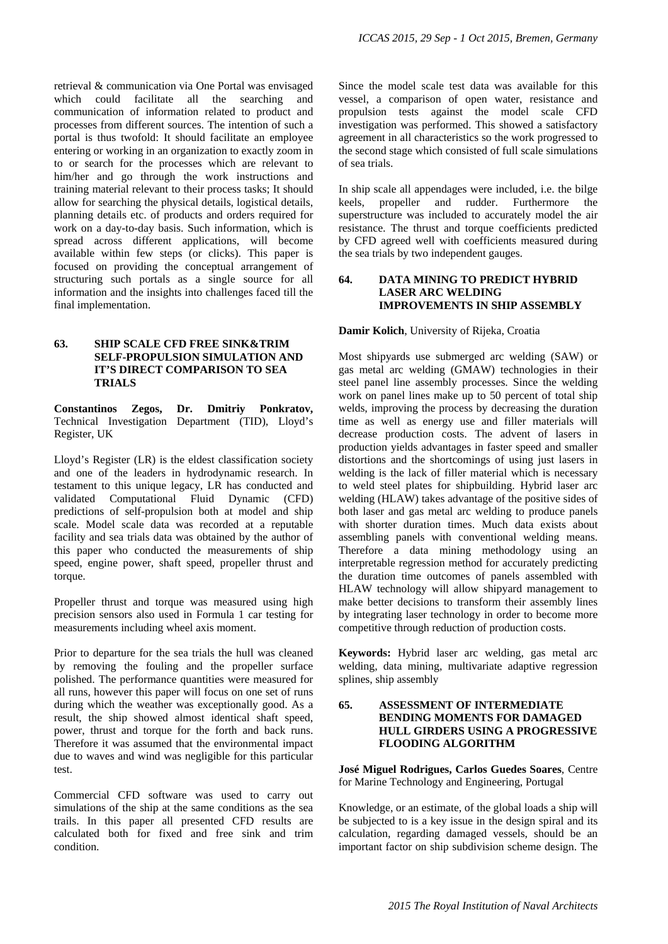retrieval & communication via One Portal was envisaged which could facilitate all the searching and communication of information related to product and processes from different sources. The intention of such a portal is thus twofold: It should facilitate an employee entering or working in an organization to exactly zoom in to or search for the processes which are relevant to him/her and go through the work instructions and training material relevant to their process tasks; It should allow for searching the physical details, logistical details, planning details etc. of products and orders required for work on a day-to-day basis. Such information, which is spread across different applications, will become available within few steps (or clicks). This paper is focused on providing the conceptual arrangement of structuring such portals as a single source for all information and the insights into challenges faced till the final implementation.

## **63. SHIP SCALE CFD FREE SINK&TRIM SELF-PROPULSION SIMULATION AND IT'S DIRECT COMPARISON TO SEA TRIALS**

**Constantinos Zegos, Dr. Dmitriy Ponkratov,**  Technical Investigation Department (TID), Lloyd's Register, UK

Lloyd's Register (LR) is the eldest classification society and one of the leaders in hydrodynamic research. In testament to this unique legacy, LR has conducted and validated Computational Fluid Dynamic (CFD) predictions of self-propulsion both at model and ship scale. Model scale data was recorded at a reputable facility and sea trials data was obtained by the author of this paper who conducted the measurements of ship speed, engine power, shaft speed, propeller thrust and torque.

Propeller thrust and torque was measured using high precision sensors also used in Formula 1 car testing for measurements including wheel axis moment.

Prior to departure for the sea trials the hull was cleaned by removing the fouling and the propeller surface polished. The performance quantities were measured for all runs, however this paper will focus on one set of runs during which the weather was exceptionally good. As a result, the ship showed almost identical shaft speed, power, thrust and torque for the forth and back runs. Therefore it was assumed that the environmental impact due to waves and wind was negligible for this particular test.

Commercial CFD software was used to carry out simulations of the ship at the same conditions as the sea trails. In this paper all presented CFD results are calculated both for fixed and free sink and trim condition.

Since the model scale test data was available for this vessel, a comparison of open water, resistance and propulsion tests against the model scale CFD investigation was performed. This showed a satisfactory agreement in all characteristics so the work progressed to the second stage which consisted of full scale simulations of sea trials.

In ship scale all appendages were included, i.e. the bilge keels, propeller and rudder. Furthermore the superstructure was included to accurately model the air resistance. The thrust and torque coefficients predicted by CFD agreed well with coefficients measured during the sea trials by two independent gauges.

## **64. DATA MINING TO PREDICT HYBRID LASER ARC WELDING IMPROVEMENTS IN SHIP ASSEMBLY**

#### **Damir Kolich**, University of Rijeka, Croatia

Most shipyards use submerged arc welding (SAW) or gas metal arc welding (GMAW) technologies in their steel panel line assembly processes. Since the welding work on panel lines make up to 50 percent of total ship welds, improving the process by decreasing the duration time as well as energy use and filler materials will decrease production costs. The advent of lasers in production yields advantages in faster speed and smaller distortions and the shortcomings of using just lasers in welding is the lack of filler material which is necessary to weld steel plates for shipbuilding. Hybrid laser arc welding (HLAW) takes advantage of the positive sides of both laser and gas metal arc welding to produce panels with shorter duration times. Much data exists about assembling panels with conventional welding means. Therefore a data mining methodology using an interpretable regression method for accurately predicting the duration time outcomes of panels assembled with HLAW technology will allow shipyard management to make better decisions to transform their assembly lines by integrating laser technology in order to become more competitive through reduction of production costs.

**Keywords:** Hybrid laser arc welding, gas metal arc welding, data mining, multivariate adaptive regression splines, ship assembly

### **65. ASSESSMENT OF INTERMEDIATE BENDING MOMENTS FOR DAMAGED HULL GIRDERS USING A PROGRESSIVE FLOODING ALGORITHM**

**José Miguel Rodrigues, Carlos Guedes Soares**, Centre for Marine Technology and Engineering, Portugal

Knowledge, or an estimate, of the global loads a ship will be subjected to is a key issue in the design spiral and its calculation, regarding damaged vessels, should be an important factor on ship subdivision scheme design. The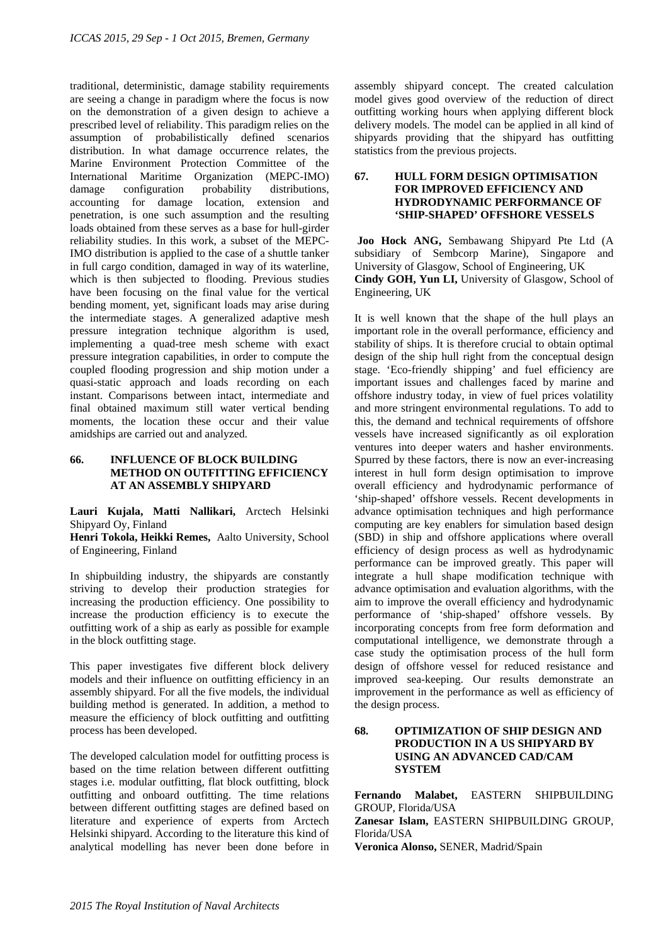traditional, deterministic, damage stability requirements are seeing a change in paradigm where the focus is now on the demonstration of a given design to achieve a prescribed level of reliability. This paradigm relies on the assumption of probabilistically defined scenarios distribution. In what damage occurrence relates, the Marine Environment Protection Committee of the International Maritime Organization (MEPC-IMO) damage configuration probability distributions, accounting for damage location, extension and penetration, is one such assumption and the resulting loads obtained from these serves as a base for hull-girder reliability studies. In this work, a subset of the MEPC-IMO distribution is applied to the case of a shuttle tanker in full cargo condition, damaged in way of its waterline, which is then subjected to flooding. Previous studies have been focusing on the final value for the vertical bending moment, yet, significant loads may arise during the intermediate stages. A generalized adaptive mesh pressure integration technique algorithm is used, implementing a quad-tree mesh scheme with exact pressure integration capabilities, in order to compute the coupled flooding progression and ship motion under a quasi-static approach and loads recording on each instant. Comparisons between intact, intermediate and final obtained maximum still water vertical bending moments, the location these occur and their value amidships are carried out and analyzed.

#### **66. INFLUENCE OF BLOCK BUILDING METHOD ON OUTFITTING EFFICIENCY AT AN ASSEMBLY SHIPYARD**

**Lauri Kujala, Matti Nallikari,** Arctech Helsinki Shipyard Oy, Finland

**Henri Tokola, Heikki Remes,** Aalto University, School of Engineering, Finland

In shipbuilding industry, the shipyards are constantly striving to develop their production strategies for increasing the production efficiency. One possibility to increase the production efficiency is to execute the outfitting work of a ship as early as possible for example in the block outfitting stage.

This paper investigates five different block delivery models and their influence on outfitting efficiency in an assembly shipyard. For all the five models, the individual building method is generated. In addition, a method to measure the efficiency of block outfitting and outfitting process has been developed.

The developed calculation model for outfitting process is based on the time relation between different outfitting stages i.e. modular outfitting, flat block outfitting, block outfitting and onboard outfitting. The time relations between different outfitting stages are defined based on literature and experience of experts from Arctech Helsinki shipyard. According to the literature this kind of analytical modelling has never been done before in

assembly shipyard concept. The created calculation model gives good overview of the reduction of direct outfitting working hours when applying different block delivery models. The model can be applied in all kind of shipyards providing that the shipyard has outfitting statistics from the previous projects.

### **67. HULL FORM DESIGN OPTIMISATION FOR IMPROVED EFFICIENCY AND HYDRODYNAMIC PERFORMANCE OF 'SHIP-SHAPED' OFFSHORE VESSELS**

 **Joo Hock ANG,** Sembawang Shipyard Pte Ltd (A subsidiary of Sembcorp Marine), Singapore and University of Glasgow, School of Engineering, UK **Cindy GOH, Yun LI,** University of Glasgow, School of Engineering, UK

It is well known that the shape of the hull plays an important role in the overall performance, efficiency and stability of ships. It is therefore crucial to obtain optimal design of the ship hull right from the conceptual design stage. 'Eco-friendly shipping' and fuel efficiency are important issues and challenges faced by marine and offshore industry today, in view of fuel prices volatility and more stringent environmental regulations. To add to this, the demand and technical requirements of offshore vessels have increased significantly as oil exploration ventures into deeper waters and hasher environments. Spurred by these factors, there is now an ever-increasing interest in hull form design optimisation to improve overall efficiency and hydrodynamic performance of 'ship-shaped' offshore vessels. Recent developments in advance optimisation techniques and high performance computing are key enablers for simulation based design (SBD) in ship and offshore applications where overall efficiency of design process as well as hydrodynamic performance can be improved greatly. This paper will integrate a hull shape modification technique with advance optimisation and evaluation algorithms, with the aim to improve the overall efficiency and hydrodynamic performance of 'ship-shaped' offshore vessels. By incorporating concepts from free form deformation and computational intelligence, we demonstrate through a case study the optimisation process of the hull form design of offshore vessel for reduced resistance and improved sea-keeping. Our results demonstrate an improvement in the performance as well as efficiency of the design process.

# **68. OPTIMIZATION OF SHIP DESIGN AND PRODUCTION IN A US SHIPYARD BY USING AN ADVANCED CAD/CAM SYSTEM**

**Fernando Malabet,** EASTERN SHIPBUILDING GROUP, Florida/USA **Zanesar Islam,** EASTERN SHIPBUILDING GROUP, Florida/USA **Veronica Alonso,** SENER, Madrid/Spain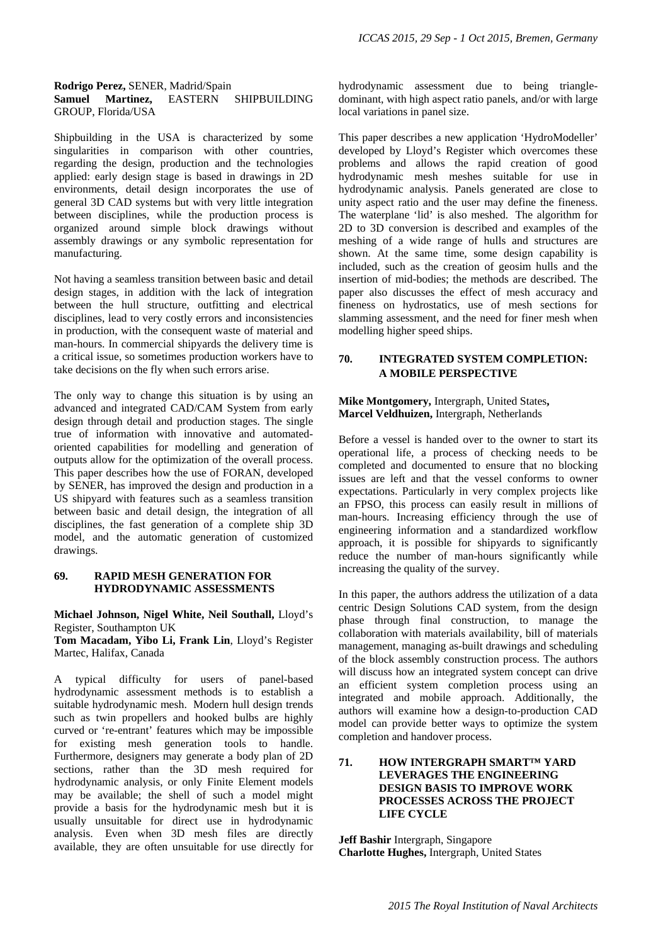#### **Rodrigo Perez,** SENER, Madrid/Spain **Samuel Martinez,** EASTERN SHIPBUILDING GROUP, Florida/USA

Shipbuilding in the USA is characterized by some singularities in comparison with other countries, regarding the design, production and the technologies applied: early design stage is based in drawings in 2D environments, detail design incorporates the use of general 3D CAD systems but with very little integration between disciplines, while the production process is organized around simple block drawings without assembly drawings or any symbolic representation for manufacturing.

Not having a seamless transition between basic and detail design stages, in addition with the lack of integration between the hull structure, outfitting and electrical disciplines, lead to very costly errors and inconsistencies in production, with the consequent waste of material and man-hours. In commercial shipyards the delivery time is a critical issue, so sometimes production workers have to take decisions on the fly when such errors arise.

The only way to change this situation is by using an advanced and integrated CAD/CAM System from early design through detail and production stages. The single true of information with innovative and automatedoriented capabilities for modelling and generation of outputs allow for the optimization of the overall process. This paper describes how the use of FORAN, developed by SENER, has improved the design and production in a US shipyard with features such as a seamless transition between basic and detail design, the integration of all disciplines, the fast generation of a complete ship 3D model, and the automatic generation of customized drawings.

### **69. RAPID MESH GENERATION FOR HYDRODYNAMIC ASSESSMENTS**

**Michael Johnson, Nigel White, Neil Southall,** Lloyd's Register, Southampton UK

**Tom Macadam, Yibo Li, Frank Lin**, Lloyd's Register Martec, Halifax, Canada

A typical difficulty for users of panel-based hydrodynamic assessment methods is to establish a suitable hydrodynamic mesh. Modern hull design trends such as twin propellers and hooked bulbs are highly curved or 're-entrant' features which may be impossible for existing mesh generation tools to handle. Furthermore, designers may generate a body plan of 2D sections, rather than the 3D mesh required for hydrodynamic analysis, or only Finite Element models may be available; the shell of such a model might provide a basis for the hydrodynamic mesh but it is usually unsuitable for direct use in hydrodynamic analysis. Even when 3D mesh files are directly available, they are often unsuitable for use directly for hydrodynamic assessment due to being triangledominant, with high aspect ratio panels, and/or with large local variations in panel size.

This paper describes a new application 'HydroModeller' developed by Lloyd's Register which overcomes these problems and allows the rapid creation of good hydrodynamic mesh meshes suitable for use in hydrodynamic analysis. Panels generated are close to unity aspect ratio and the user may define the fineness. The waterplane 'lid' is also meshed. The algorithm for 2D to 3D conversion is described and examples of the meshing of a wide range of hulls and structures are shown. At the same time, some design capability is included, such as the creation of geosim hulls and the insertion of mid-bodies; the methods are described. The paper also discusses the effect of mesh accuracy and fineness on hydrostatics, use of mesh sections for slamming assessment, and the need for finer mesh when modelling higher speed ships.

# **70. INTEGRATED SYSTEM COMPLETION: A MOBILE PERSPECTIVE**

#### **Mike Montgomery,** Intergraph, United States**, Marcel Veldhuizen,** Intergraph, Netherlands

Before a vessel is handed over to the owner to start its operational life, a process of checking needs to be completed and documented to ensure that no blocking issues are left and that the vessel conforms to owner expectations. Particularly in very complex projects like an FPSO, this process can easily result in millions of man-hours. Increasing efficiency through the use of engineering information and a standardized workflow approach, it is possible for shipyards to significantly reduce the number of man-hours significantly while increasing the quality of the survey.

In this paper, the authors address the utilization of a data centric Design Solutions CAD system, from the design phase through final construction, to manage the collaboration with materials availability, bill of materials management, managing as-built drawings and scheduling of the block assembly construction process. The authors will discuss how an integrated system concept can drive an efficient system completion process using an integrated and mobile approach. Additionally, the authors will examine how a design-to-production CAD model can provide better ways to optimize the system completion and handover process.

## **71. HOW INTERGRAPH SMART™ YARD LEVERAGES THE ENGINEERING DESIGN BASIS TO IMPROVE WORK PROCESSES ACROSS THE PROJECT LIFE CYCLE**

**Jeff Bashir** Intergraph, Singapore **Charlotte Hughes,** Intergraph, United States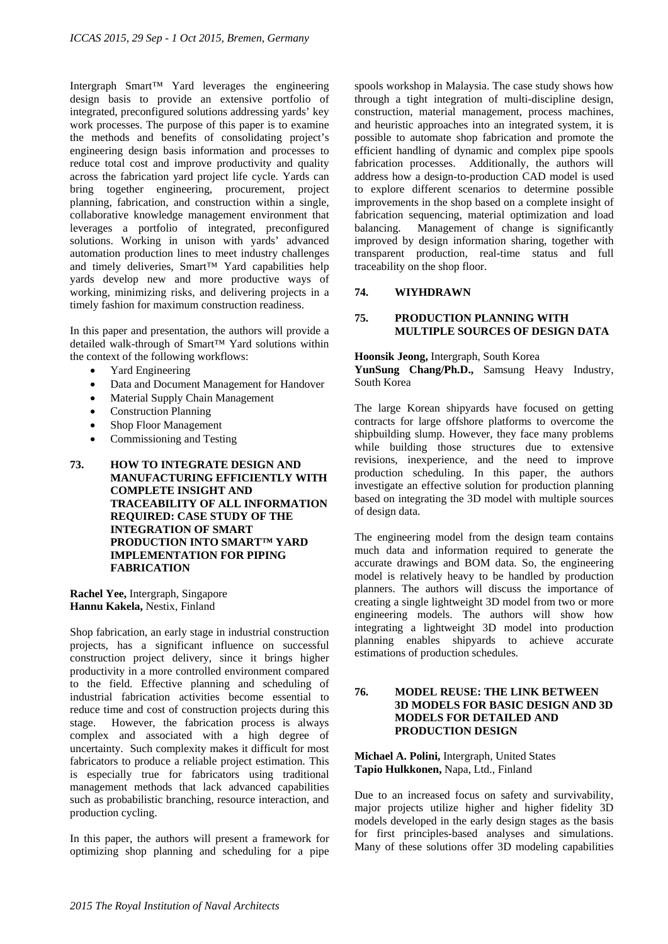Intergraph Smart™ Yard leverages the engineering design basis to provide an extensive portfolio of integrated, preconfigured solutions addressing yards' key work processes. The purpose of this paper is to examine the methods and benefits of consolidating project's engineering design basis information and processes to reduce total cost and improve productivity and quality across the fabrication yard project life cycle. Yards can bring together engineering, procurement, project planning, fabrication, and construction within a single, collaborative knowledge management environment that leverages a portfolio of integrated, preconfigured solutions. Working in unison with yards' advanced automation production lines to meet industry challenges and timely deliveries, Smart™ Yard capabilities help yards develop new and more productive ways of working, minimizing risks, and delivering projects in a timely fashion for maximum construction readiness.

In this paper and presentation, the authors will provide a detailed walk-through of Smart™ Yard solutions within the context of the following workflows:

- Yard Engineering
- Data and Document Management for Handover
- Material Supply Chain Management
- Construction Planning
- Shop Floor Management
- Commissioning and Testing
- **73. HOW TO INTEGRATE DESIGN AND MANUFACTURING EFFICIENTLY WITH COMPLETE INSIGHT AND TRACEABILITY OF ALL INFORMATION REQUIRED: CASE STUDY OF THE INTEGRATION OF SMART PRODUCTION INTO SMART™ YARD IMPLEMENTATION FOR PIPING FABRICATION**

**Rachel Yee,** Intergraph, Singapore **Hannu Kakela,** Nestix, Finland

Shop fabrication, an early stage in industrial construction projects, has a significant influence on successful construction project delivery, since it brings higher productivity in a more controlled environment compared to the field. Effective planning and scheduling of industrial fabrication activities become essential to reduce time and cost of construction projects during this stage. However, the fabrication process is always complex and associated with a high degree of uncertainty. Such complexity makes it difficult for most fabricators to produce a reliable project estimation. This is especially true for fabricators using traditional management methods that lack advanced capabilities such as probabilistic branching, resource interaction, and production cycling.

In this paper, the authors will present a framework for optimizing shop planning and scheduling for a pipe

spools workshop in Malaysia. The case study shows how through a tight integration of multi-discipline design, construction, material management, process machines, and heuristic approaches into an integrated system, it is possible to automate shop fabrication and promote the efficient handling of dynamic and complex pipe spools fabrication processes. Additionally, the authors will address how a design-to-production CAD model is used to explore different scenarios to determine possible improvements in the shop based on a complete insight of fabrication sequencing, material optimization and load balancing. Management of change is significantly improved by design information sharing, together with transparent production, real-time status and full traceability on the shop floor.

#### **74. WIYHDRAWN**

### **75. PRODUCTION PLANNING WITH MULTIPLE SOURCES OF DESIGN DATA**

**Hoonsik Jeong,** Intergraph, South Korea

**YunSung Chang/Ph.D.,** Samsung Heavy Industry, South Korea

The large Korean shipyards have focused on getting contracts for large offshore platforms to overcome the shipbuilding slump. However, they face many problems while building those structures due to extensive revisions, inexperience, and the need to improve production scheduling. In this paper, the authors investigate an effective solution for production planning based on integrating the 3D model with multiple sources of design data.

The engineering model from the design team contains much data and information required to generate the accurate drawings and BOM data. So, the engineering model is relatively heavy to be handled by production planners. The authors will discuss the importance of creating a single lightweight 3D model from two or more engineering models. The authors will show how integrating a lightweight 3D model into production planning enables shipyards to achieve accurate estimations of production schedules.

### **76. MODEL REUSE: THE LINK BETWEEN 3D MODELS FOR BASIC DESIGN AND 3D MODELS FOR DETAILED AND PRODUCTION DESIGN**

## **Michael A. Polini,** Intergraph, United States **Tapio Hulkkonen,** Napa, Ltd., Finland

Due to an increased focus on safety and survivability, major projects utilize higher and higher fidelity 3D models developed in the early design stages as the basis for first principles-based analyses and simulations. Many of these solutions offer 3D modeling capabilities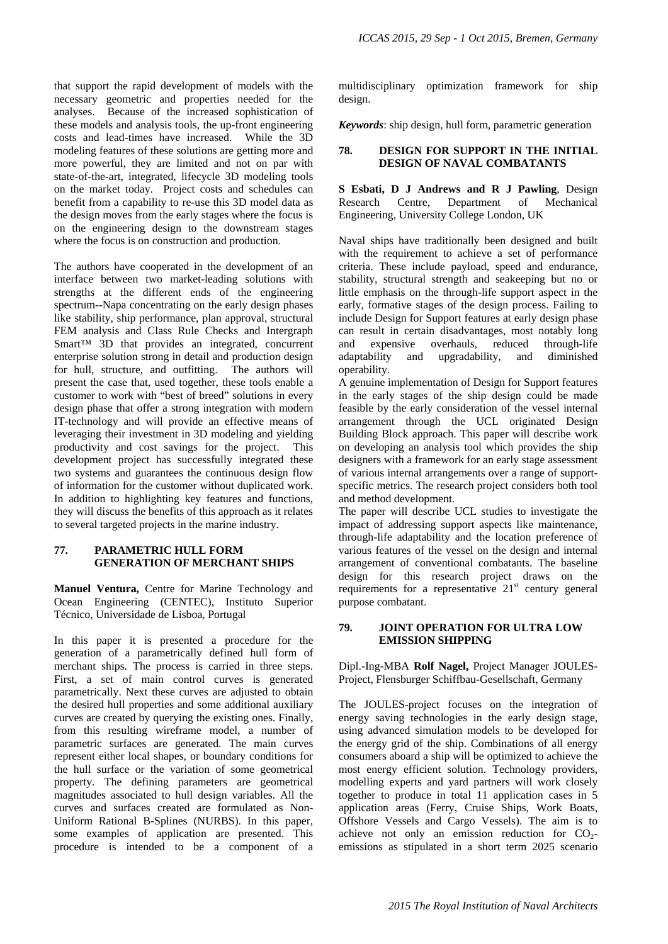that support the rapid development of models with the necessary geometric and properties needed for the analyses. Because of the increased sophistication of these models and analysis tools, the up-front engineering costs and lead-times have increased. While the 3D modeling features of these solutions are getting more and more powerful, they are limited and not on par with state-of-the-art, integrated, lifecycle 3D modeling tools on the market today. Project costs and schedules can benefit from a capability to re-use this 3D model data as the design moves from the early stages where the focus is on the engineering design to the downstream stages where the focus is on construction and production.

The authors have cooperated in the development of an interface between two market-leading solutions with strengths at the different ends of the engineering spectrum--Napa concentrating on the early design phases like stability, ship performance, plan approval, structural FEM analysis and Class Rule Checks and Intergraph Smart™ 3D that provides an integrated, concurrent enterprise solution strong in detail and production design for hull, structure, and outfitting. The authors will present the case that, used together, these tools enable a customer to work with "best of breed" solutions in every design phase that offer a strong integration with modern IT-technology and will provide an effective means of leveraging their investment in 3D modeling and yielding productivity and cost savings for the project. This development project has successfully integrated these two systems and guarantees the continuous design flow of information for the customer without duplicated work. In addition to highlighting key features and functions, they will discuss the benefits of this approach as it relates to several targeted projects in the marine industry.

### **77. PARAMETRIC HULL FORM GENERATION OF MERCHANT SHIPS**

**Manuel Ventura,** Centre for Marine Technology and Ocean Engineering (CENTEC), Instituto Superior Técnico, Universidade de Lisboa, Portugal

In this paper it is presented a procedure for the generation of a parametrically defined hull form of merchant ships. The process is carried in three steps. First, a set of main control curves is generated parametrically. Next these curves are adjusted to obtain the desired hull properties and some additional auxiliary curves are created by querying the existing ones. Finally, from this resulting wireframe model, a number of parametric surfaces are generated. The main curves represent either local shapes, or boundary conditions for the hull surface or the variation of some geometrical property. The defining parameters are geometrical magnitudes associated to hull design variables. All the curves and surfaces created are formulated as Non-Uniform Rational B-Splines (NURBS). In this paper, some examples of application are presented. This procedure is intended to be a component of a multidisciplinary optimization framework for ship design.

*Keywords*: ship design, hull form, parametric generation

#### **78. DESIGN FOR SUPPORT IN THE INITIAL DESIGN OF NAVAL COMBATANTS**

**S Esbati, D J Andrews and R J Pawling**, Design Research Centre, Department of Mechanical Engineering, University College London, UK

Naval ships have traditionally been designed and built with the requirement to achieve a set of performance criteria. These include payload, speed and endurance, stability, structural strength and seakeeping but no or little emphasis on the through-life support aspect in the early, formative stages of the design process. Failing to include Design for Support features at early design phase can result in certain disadvantages, most notably long and expensive overhauls, reduced through-life adaptability and upgradability, and diminished operability.

A genuine implementation of Design for Support features in the early stages of the ship design could be made feasible by the early consideration of the vessel internal arrangement through the UCL originated Design Building Block approach. This paper will describe work on developing an analysis tool which provides the ship designers with a framework for an early stage assessment of various internal arrangements over a range of supportspecific metrics. The research project considers both tool and method development.

The paper will describe UCL studies to investigate the impact of addressing support aspects like maintenance, through-life adaptability and the location preference of various features of the vessel on the design and internal arrangement of conventional combatants. The baseline design for this research project draws on the requirements for a representative  $21<sup>st</sup>$  century general purpose combatant.

#### **79. JOINT OPERATION FOR ULTRA LOW EMISSION SHIPPING**

Dipl.-Ing-MBA **Rolf Nagel,** Project Manager JOULES-Project, Flensburger Schiffbau-Gesellschaft, Germany

The JOULES-project focuses on the integration of energy saving technologies in the early design stage, using advanced simulation models to be developed for the energy grid of the ship. Combinations of all energy consumers aboard a ship will be optimized to achieve the most energy efficient solution. Technology providers, modelling experts and yard partners will work closely together to produce in total 11 application cases in 5 application areas (Ferry, Cruise Ships, Work Boats, Offshore Vessels and Cargo Vessels). The aim is to achieve not only an emission reduction for  $CO<sub>2</sub>$ emissions as stipulated in a short term 2025 scenario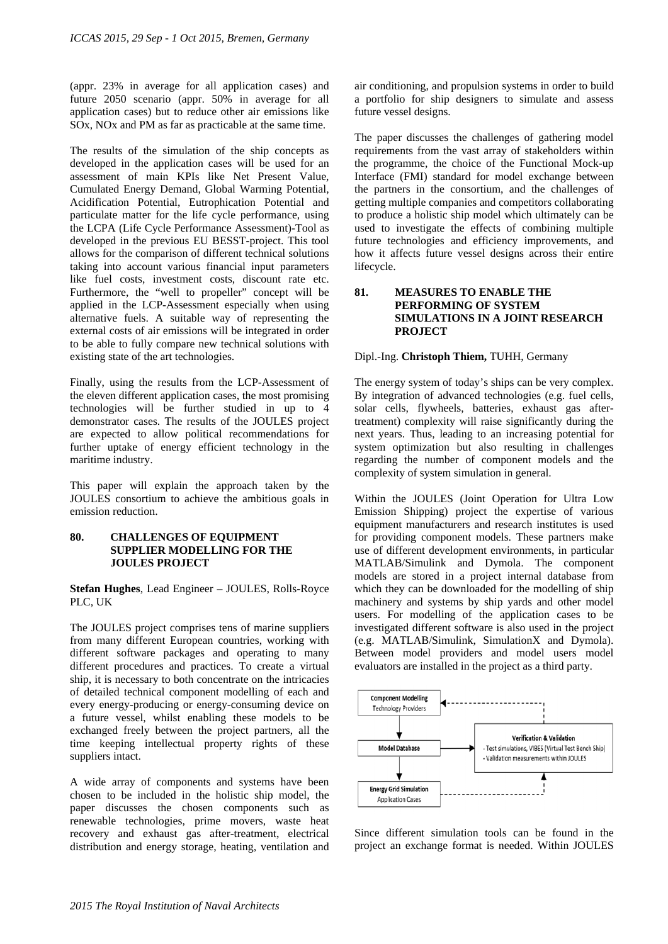(appr. 23% in average for all application cases) and future 2050 scenario (appr. 50% in average for all application cases) but to reduce other air emissions like SOx, NOx and PM as far as practicable at the same time.

The results of the simulation of the ship concepts as developed in the application cases will be used for an assessment of main KPIs like Net Present Value, Cumulated Energy Demand, Global Warming Potential, Acidification Potential, Eutrophication Potential and particulate matter for the life cycle performance, using the LCPA (Life Cycle Performance Assessment)-Tool as developed in the previous EU BESST-project. This tool allows for the comparison of different technical solutions taking into account various financial input parameters like fuel costs, investment costs, discount rate etc. Furthermore, the "well to propeller" concept will be applied in the LCP-Assessment especially when using alternative fuels. A suitable way of representing the external costs of air emissions will be integrated in order to be able to fully compare new technical solutions with existing state of the art technologies.

Finally, using the results from the LCP-Assessment of the eleven different application cases, the most promising technologies will be further studied in up to 4 demonstrator cases. The results of the JOULES project are expected to allow political recommendations for further uptake of energy efficient technology in the maritime industry.

This paper will explain the approach taken by the JOULES consortium to achieve the ambitious goals in emission reduction.

#### **80. CHALLENGES OF EQUIPMENT SUPPLIER MODELLING FOR THE JOULES PROJECT**

**Stefan Hughes**, Lead Engineer – JOULES, Rolls-Royce PLC, UK

The JOULES project comprises tens of marine suppliers from many different European countries, working with different software packages and operating to many different procedures and practices. To create a virtual ship, it is necessary to both concentrate on the intricacies of detailed technical component modelling of each and every energy-producing or energy-consuming device on a future vessel, whilst enabling these models to be exchanged freely between the project partners, all the time keeping intellectual property rights of these suppliers intact.

A wide array of components and systems have been chosen to be included in the holistic ship model, the paper discusses the chosen components such as renewable technologies, prime movers, waste heat recovery and exhaust gas after-treatment, electrical distribution and energy storage, heating, ventilation and

air conditioning, and propulsion systems in order to build a portfolio for ship designers to simulate and assess future vessel designs.

The paper discusses the challenges of gathering model requirements from the vast array of stakeholders within the programme, the choice of the Functional Mock-up Interface (FMI) standard for model exchange between the partners in the consortium, and the challenges of getting multiple companies and competitors collaborating to produce a holistic ship model which ultimately can be used to investigate the effects of combining multiple future technologies and efficiency improvements, and how it affects future vessel designs across their entire lifecycle.

### **81. MEASURES TO ENABLE THE PERFORMING OF SYSTEM SIMULATIONS IN A JOINT RESEARCH PROJECT**

#### Dipl.-Ing. **Christoph Thiem,** TUHH, Germany

The energy system of today's ships can be very complex. By integration of advanced technologies (e.g. fuel cells, solar cells, flywheels, batteries, exhaust gas aftertreatment) complexity will raise significantly during the next years. Thus, leading to an increasing potential for system optimization but also resulting in challenges regarding the number of component models and the complexity of system simulation in general.

Within the JOULES (Joint Operation for Ultra Low Emission Shipping) project the expertise of various equipment manufacturers and research institutes is used for providing component models. These partners make use of different development environments, in particular MATLAB/Simulink and Dymola. The component models are stored in a project internal database from which they can be downloaded for the modelling of ship machinery and systems by ship yards and other model users. For modelling of the application cases to be investigated different software is also used in the project (e.g. MATLAB/Simulink, SimulationX and Dymola). Between model providers and model users model evaluators are installed in the project as a third party.



Since different simulation tools can be found in the project an exchange format is needed. Within JOULES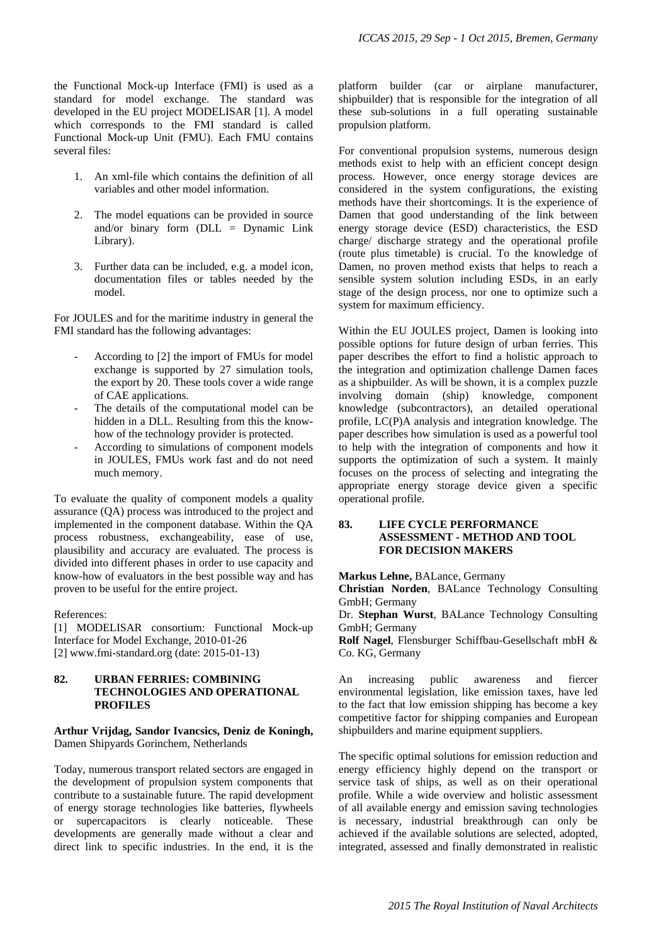the Functional Mock-up Interface (FMI) is used as a standard for model exchange. The standard was developed in the EU project MODELISAR [1]. A model which corresponds to the FMI standard is called Functional Mock-up Unit (FMU). Each FMU contains several files:

- 1. An xml-file which contains the definition of all variables and other model information.
- 2. The model equations can be provided in source and/or binary form (DLL = Dynamic Link Library).
- 3. Further data can be included, e.g. a model icon, documentation files or tables needed by the model.

For JOULES and for the maritime industry in general the FMI standard has the following advantages:

- According to [2] the import of FMUs for model exchange is supported by 27 simulation tools, the export by 20. These tools cover a wide range of CAE applications.
- The details of the computational model can be hidden in a DLL. Resulting from this the knowhow of the technology provider is protected.
- According to simulations of component models in JOULES, FMUs work fast and do not need much memory.

To evaluate the quality of component models a quality assurance (QA) process was introduced to the project and implemented in the component database. Within the QA process robustness, exchangeability, ease of use, plausibility and accuracy are evaluated. The process is divided into different phases in order to use capacity and know-how of evaluators in the best possible way and has proven to be useful for the entire project.

References:

[1] MODELISAR consortium: Functional Mock-up Interface for Model Exchange, 2010-01-26 [2] www.fmi-standard.org (date: 2015-01-13)

### **82. URBAN FERRIES: COMBINING TECHNOLOGIES AND OPERATIONAL PROFILES**

#### **Arthur Vrijdag, Sandor Ivancsics, Deniz de Koningh,**  Damen Shipyards Gorinchem, Netherlands

Today, numerous transport related sectors are engaged in the development of propulsion system components that contribute to a sustainable future. The rapid development of energy storage technologies like batteries, flywheels or supercapacitors is clearly noticeable. These developments are generally made without a clear and direct link to specific industries. In the end, it is the

platform builder (car or airplane manufacturer, shipbuilder) that is responsible for the integration of all these sub-solutions in a full operating sustainable propulsion platform.

For conventional propulsion systems, numerous design methods exist to help with an efficient concept design process. However, once energy storage devices are considered in the system configurations, the existing methods have their shortcomings. It is the experience of Damen that good understanding of the link between energy storage device (ESD) characteristics, the ESD charge/ discharge strategy and the operational profile (route plus timetable) is crucial. To the knowledge of Damen, no proven method exists that helps to reach a sensible system solution including ESDs, in an early stage of the design process, nor one to optimize such a system for maximum efficiency.

Within the EU JOULES project, Damen is looking into possible options for future design of urban ferries. This paper describes the effort to find a holistic approach to the integration and optimization challenge Damen faces as a shipbuilder. As will be shown, it is a complex puzzle involving domain (ship) knowledge, component knowledge (subcontractors), an detailed operational profile, LC(P)A analysis and integration knowledge. The paper describes how simulation is used as a powerful tool to help with the integration of components and how it supports the optimization of such a system. It mainly focuses on the process of selecting and integrating the appropriate energy storage device given a specific operational profile.

## **83. LIFE CYCLE PERFORMANCE ASSESSMENT - METHOD AND TOOL FOR DECISION MAKERS**

**Markus Lehne,** BALance, Germany

**Christian Norden**, BALance Technology Consulting GmbH; Germany

Dr. **Stephan Wurst**, BALance Technology Consulting GmbH; Germany

**Rolf Nagel**, Flensburger Schiffbau-Gesellschaft mbH & Co. KG, Germany

An increasing public awareness and fiercer environmental legislation, like emission taxes, have led to the fact that low emission shipping has become a key competitive factor for shipping companies and European shipbuilders and marine equipment suppliers.

The specific optimal solutions for emission reduction and energy efficiency highly depend on the transport or service task of ships, as well as on their operational profile. While a wide overview and holistic assessment of all available energy and emission saving technologies is necessary, industrial breakthrough can only be achieved if the available solutions are selected, adopted, integrated, assessed and finally demonstrated in realistic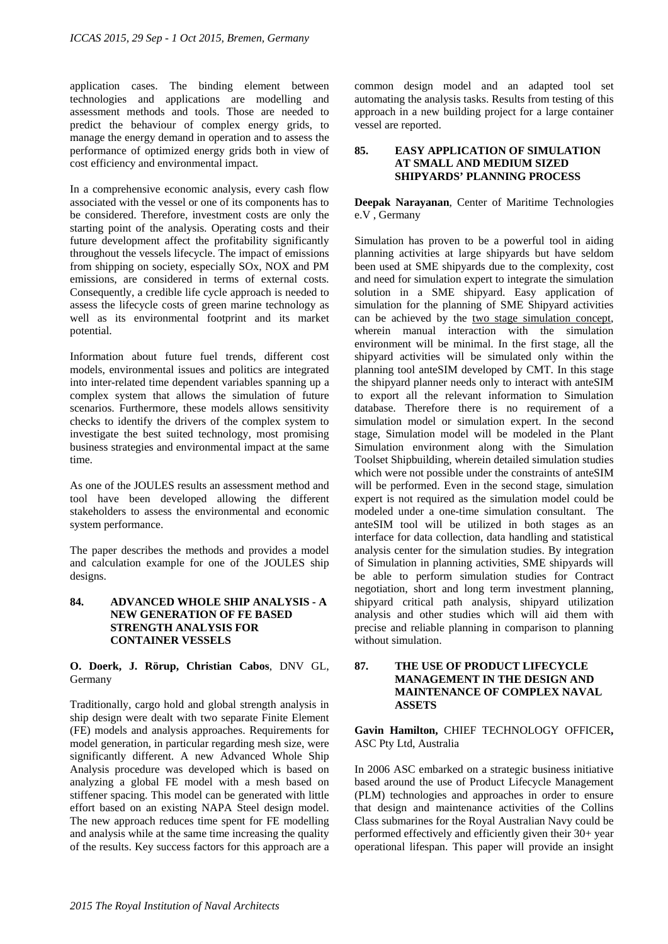application cases. The binding element between technologies and applications are modelling and assessment methods and tools. Those are needed to predict the behaviour of complex energy grids, to manage the energy demand in operation and to assess the performance of optimized energy grids both in view of cost efficiency and environmental impact.

In a comprehensive economic analysis, every cash flow associated with the vessel or one of its components has to be considered. Therefore, investment costs are only the starting point of the analysis. Operating costs and their future development affect the profitability significantly throughout the vessels lifecycle. The impact of emissions from shipping on society, especially SOx, NOX and PM emissions, are considered in terms of external costs. Consequently, a credible life cycle approach is needed to assess the lifecycle costs of green marine technology as well as its environmental footprint and its market potential.

Information about future fuel trends, different cost models, environmental issues and politics are integrated into inter-related time dependent variables spanning up a complex system that allows the simulation of future scenarios. Furthermore, these models allows sensitivity checks to identify the drivers of the complex system to investigate the best suited technology, most promising business strategies and environmental impact at the same time.

As one of the JOULES results an assessment method and tool have been developed allowing the different stakeholders to assess the environmental and economic system performance.

The paper describes the methods and provides a model and calculation example for one of the JOULES ship designs.

## **84. ADVANCED WHOLE SHIP ANALYSIS - A NEW GENERATION OF FE BASED STRENGTH ANALYSIS FOR CONTAINER VESSELS**

#### **O. Doerk, J. Rörup, Christian Cabos**, DNV GL, Germany

Traditionally, cargo hold and global strength analysis in ship design were dealt with two separate Finite Element (FE) models and analysis approaches. Requirements for model generation, in particular regarding mesh size, were significantly different. A new Advanced Whole Ship Analysis procedure was developed which is based on analyzing a global FE model with a mesh based on stiffener spacing. This model can be generated with little effort based on an existing NAPA Steel design model. The new approach reduces time spent for FE modelling and analysis while at the same time increasing the quality of the results. Key success factors for this approach are a

common design model and an adapted tool set automating the analysis tasks. Results from testing of this approach in a new building project for a large container vessel are reported.

#### **85. EASY APPLICATION OF SIMULATION AT SMALL AND MEDIUM SIZED SHIPYARDS' PLANNING PROCESS**

**Deepak Narayanan**, Center of Maritime Technologies e.V , Germany

Simulation has proven to be a powerful tool in aiding planning activities at large shipyards but have seldom been used at SME shipyards due to the complexity, cost and need for simulation expert to integrate the simulation solution in a SME shipyard. Easy application of simulation for the planning of SME Shipyard activities can be achieved by the two stage simulation concept, wherein manual interaction with the simulation environment will be minimal. In the first stage, all the shipyard activities will be simulated only within the planning tool anteSIM developed by CMT. In this stage the shipyard planner needs only to interact with anteSIM to export all the relevant information to Simulation database. Therefore there is no requirement of a simulation model or simulation expert. In the second stage, Simulation model will be modeled in the Plant Simulation environment along with the Simulation Toolset Shipbuilding, wherein detailed simulation studies which were not possible under the constraints of anteSIM will be performed. Even in the second stage, simulation expert is not required as the simulation model could be modeled under a one-time simulation consultant. The anteSIM tool will be utilized in both stages as an interface for data collection, data handling and statistical analysis center for the simulation studies. By integration of Simulation in planning activities, SME shipyards will be able to perform simulation studies for Contract negotiation, short and long term investment planning, shipyard critical path analysis, shipyard utilization analysis and other studies which will aid them with precise and reliable planning in comparison to planning without simulation.

## **87. THE USE OF PRODUCT LIFECYCLE MANAGEMENT IN THE DESIGN AND MAINTENANCE OF COMPLEX NAVAL ASSETS**

#### **Gavin Hamilton,** CHIEF TECHNOLOGY OFFICER**,**  ASC Pty Ltd, Australia

In 2006 ASC embarked on a strategic business initiative based around the use of Product Lifecycle Management (PLM) technologies and approaches in order to ensure that design and maintenance activities of the Collins Class submarines for the Royal Australian Navy could be performed effectively and efficiently given their 30+ year operational lifespan. This paper will provide an insight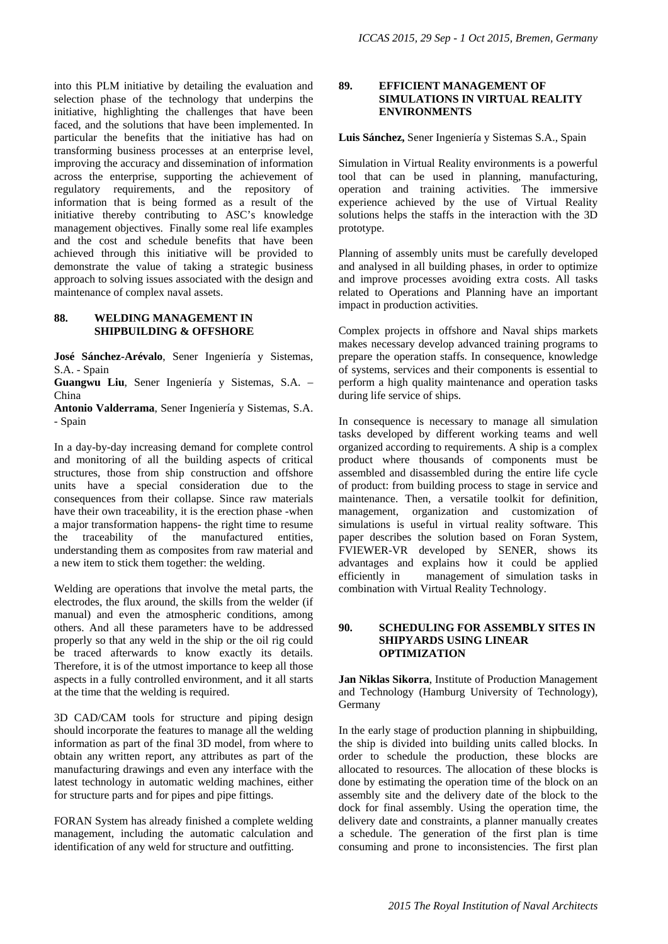into this PLM initiative by detailing the evaluation and selection phase of the technology that underpins the initiative, highlighting the challenges that have been faced, and the solutions that have been implemented. In particular the benefits that the initiative has had on transforming business processes at an enterprise level, improving the accuracy and dissemination of information across the enterprise, supporting the achievement of regulatory requirements, and the repository of information that is being formed as a result of the initiative thereby contributing to ASC's knowledge management objectives. Finally some real life examples and the cost and schedule benefits that have been achieved through this initiative will be provided to demonstrate the value of taking a strategic business approach to solving issues associated with the design and maintenance of complex naval assets.

#### **88. WELDING MANAGEMENT IN SHIPBUILDING & OFFSHORE**

**José Sánchez-Arévalo**, Sener Ingeniería y Sistemas, S.A. - Spain

**Guangwu Liu**, Sener Ingeniería y Sistemas, S.A. – China

**Antonio Valderrama**, Sener Ingeniería y Sistemas, S.A. - Spain

In a day-by-day increasing demand for complete control and monitoring of all the building aspects of critical structures, those from ship construction and offshore units have a special consideration due to the consequences from their collapse. Since raw materials have their own traceability, it is the erection phase -when a major transformation happens- the right time to resume the traceability of the manufactured entities, understanding them as composites from raw material and a new item to stick them together: the welding.

Welding are operations that involve the metal parts, the electrodes, the flux around, the skills from the welder (if manual) and even the atmospheric conditions, among others. And all these parameters have to be addressed properly so that any weld in the ship or the oil rig could be traced afterwards to know exactly its details. Therefore, it is of the utmost importance to keep all those aspects in a fully controlled environment, and it all starts at the time that the welding is required.

3D CAD/CAM tools for structure and piping design should incorporate the features to manage all the welding information as part of the final 3D model, from where to obtain any written report, any attributes as part of the manufacturing drawings and even any interface with the latest technology in automatic welding machines, either for structure parts and for pipes and pipe fittings.

FORAN System has already finished a complete welding management, including the automatic calculation and identification of any weld for structure and outfitting.

#### **89. EFFICIENT MANAGEMENT OF SIMULATIONS IN VIRTUAL REALITY ENVIRONMENTS**

**Luis Sánchez,** Sener Ingeniería y Sistemas S.A., Spain

Simulation in Virtual Reality environments is a powerful tool that can be used in planning, manufacturing, operation and training activities. The immersive experience achieved by the use of Virtual Reality solutions helps the staffs in the interaction with the 3D prototype.

Planning of assembly units must be carefully developed and analysed in all building phases, in order to optimize and improve processes avoiding extra costs. All tasks related to Operations and Planning have an important impact in production activities.

Complex projects in offshore and Naval ships markets makes necessary develop advanced training programs to prepare the operation staffs. In consequence, knowledge of systems, services and their components is essential to perform a high quality maintenance and operation tasks during life service of ships.

In consequence is necessary to manage all simulation tasks developed by different working teams and well organized according to requirements. A ship is a complex product where thousands of components must be assembled and disassembled during the entire life cycle of product: from building process to stage in service and maintenance. Then, a versatile toolkit for definition, management, organization and customization of simulations is useful in virtual reality software. This paper describes the solution based on Foran System, FVIEWER-VR developed by SENER, shows its advantages and explains how it could be applied efficiently in management of simulation tasks in combination with Virtual Reality Technology.

### **90. SCHEDULING FOR ASSEMBLY SITES IN SHIPYARDS USING LINEAR OPTIMIZATION**

**Jan Niklas Sikorra**, Institute of Production Management and Technology (Hamburg University of Technology), Germany

In the early stage of production planning in shipbuilding, the ship is divided into building units called blocks. In order to schedule the production, these blocks are allocated to resources. The allocation of these blocks is done by estimating the operation time of the block on an assembly site and the delivery date of the block to the dock for final assembly. Using the operation time, the delivery date and constraints, a planner manually creates a schedule. The generation of the first plan is time consuming and prone to inconsistencies. The first plan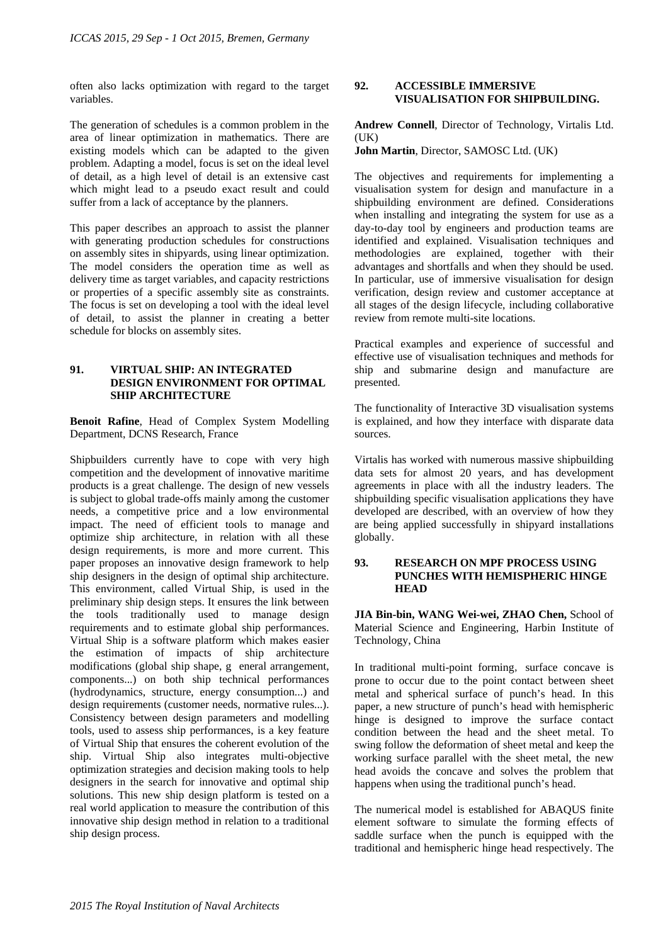often also lacks optimization with regard to the target variables.

The generation of schedules is a common problem in the area of linear optimization in mathematics. There are existing models which can be adapted to the given problem. Adapting a model, focus is set on the ideal level of detail, as a high level of detail is an extensive cast which might lead to a pseudo exact result and could suffer from a lack of acceptance by the planners.

This paper describes an approach to assist the planner with generating production schedules for constructions on assembly sites in shipyards, using linear optimization. The model considers the operation time as well as delivery time as target variables, and capacity restrictions or properties of a specific assembly site as constraints. The focus is set on developing a tool with the ideal level of detail, to assist the planner in creating a better schedule for blocks on assembly sites.

### **91. VIRTUAL SHIP: AN INTEGRATED DESIGN ENVIRONMENT FOR OPTIMAL SHIP ARCHITECTURE**

**Benoit Rafine**, Head of Complex System Modelling Department, DCNS Research, France

Shipbuilders currently have to cope with very high competition and the development of innovative maritime products is a great challenge. The design of new vessels is subject to global trade-offs mainly among the customer needs, a competitive price and a low environmental impact. The need of efficient tools to manage and optimize ship architecture, in relation with all these design requirements, is more and more current. This paper proposes an innovative design framework to help ship designers in the design of optimal ship architecture. This environment, called Virtual Ship, is used in the preliminary ship design steps. It ensures the link between the tools traditionally used to manage design requirements and to estimate global ship performances. Virtual Ship is a software platform which makes easier the estimation of impacts of ship architecture modifications (global ship shape, g eneral arrangement, components...) on both ship technical performances (hydrodynamics, structure, energy consumption...) and design requirements (customer needs, normative rules...). Consistency between design parameters and modelling tools, used to assess ship performances, is a key feature of Virtual Ship that ensures the coherent evolution of the ship. Virtual Ship also integrates multi-objective optimization strategies and decision making tools to help designers in the search for innovative and optimal ship solutions. This new ship design platform is tested on a real world application to measure the contribution of this innovative ship design method in relation to a traditional ship design process.

### **92. ACCESSIBLE IMMERSIVE VISUALISATION FOR SHIPBUILDING.**

**Andrew Connell**, Director of Technology, Virtalis Ltd.  $(IIK)$ 

**John Martin**, Director, SAMOSC Ltd. (UK)

The objectives and requirements for implementing a visualisation system for design and manufacture in a shipbuilding environment are defined. Considerations when installing and integrating the system for use as a day-to-day tool by engineers and production teams are identified and explained. Visualisation techniques and methodologies are explained, together with their advantages and shortfalls and when they should be used. In particular, use of immersive visualisation for design verification, design review and customer acceptance at all stages of the design lifecycle, including collaborative review from remote multi-site locations.

Practical examples and experience of successful and effective use of visualisation techniques and methods for ship and submarine design and manufacture are presented.

The functionality of Interactive 3D visualisation systems is explained, and how they interface with disparate data sources.

Virtalis has worked with numerous massive shipbuilding data sets for almost 20 years, and has development agreements in place with all the industry leaders. The shipbuilding specific visualisation applications they have developed are described, with an overview of how they are being applied successfully in shipyard installations globally.

### **93. RESEARCH ON MPF PROCESS USING PUNCHES WITH HEMISPHERIC HINGE HEAD**

**JIA Bin-bin, WANG Wei-wei, ZHAO Chen,** School of Material Science and Engineering, Harbin Institute of Technology, China

In traditional multi-point forming, surface concave is prone to occur due to the point contact between sheet metal and spherical surface of punch's head. In this paper, a new structure of punch's head with hemispheric hinge is designed to improve the surface contact condition between the head and the sheet metal. To swing follow the deformation of sheet metal and keep the working surface parallel with the sheet metal, the new head avoids the concave and solves the problem that happens when using the traditional punch's head.

The numerical model is established for ABAQUS finite element software to simulate the forming effects of saddle surface when the punch is equipped with the traditional and hemispheric hinge head respectively. The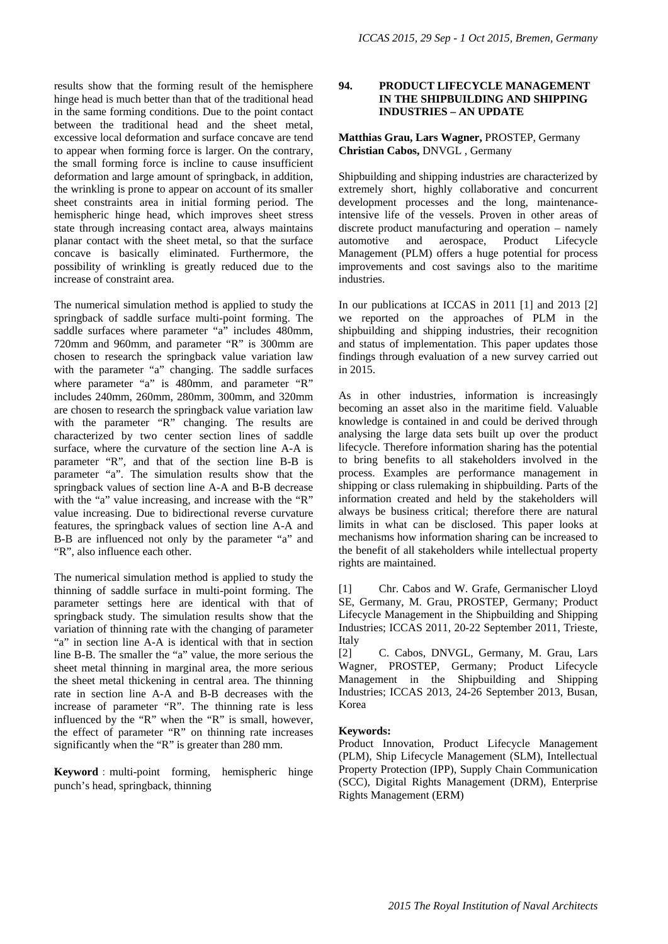results show that the forming result of the hemisphere hinge head is much better than that of the traditional head in the same forming conditions. Due to the point contact between the traditional head and the sheet metal, excessive local deformation and surface concave are tend to appear when forming force is larger. On the contrary, the small forming force is incline to cause insufficient deformation and large amount of springback, in addition, the wrinkling is prone to appear on account of its smaller sheet constraints area in initial forming period. The hemispheric hinge head, which improves sheet stress state through increasing contact area, always maintains planar contact with the sheet metal, so that the surface concave is basically eliminated. Furthermore, the possibility of wrinkling is greatly reduced due to the increase of constraint area.

The numerical simulation method is applied to study the springback of saddle surface multi-point forming. The saddle surfaces where parameter "a" includes 480mm, 720mm and 960mm, and parameter "R" is 300mm are chosen to research the springback value variation law with the parameter "a" changing. The saddle surfaces where parameter "a" is 480mm, and parameter "R" includes 240mm, 260mm, 280mm, 300mm, and 320mm are chosen to research the springback value variation law with the parameter "R" changing. The results are characterized by two center section lines of saddle surface, where the curvature of the section line A-A is parameter "R", and that of the section line B-B is parameter "a". The simulation results show that the springback values of section line A-A and B-B decrease with the "a" value increasing, and increase with the "R" value increasing. Due to bidirectional reverse curvature features, the springback values of section line A-A and B-B are influenced not only by the parameter "a" and "R", also influence each other.

The numerical simulation method is applied to study the thinning of saddle surface in multi-point forming. The parameter settings here are identical with that of springback study. The simulation results show that the variation of thinning rate with the changing of parameter "a" in section line A-A is identical with that in section line B-B. The smaller the "a" value, the more serious the sheet metal thinning in marginal area, the more serious the sheet metal thickening in central area. The thinning rate in section line A-A and B-B decreases with the increase of parameter "R". The thinning rate is less influenced by the "R" when the "R" is small, however, the effect of parameter "R" on thinning rate increases significantly when the "R" is greater than 280 mm.

**Keyword**: multi-point forming, hemispheric hinge punch's head, springback, thinning

### **94. PRODUCT LIFECYCLE MANAGEMENT IN THE SHIPBUILDING AND SHIPPING INDUSTRIES – AN UPDATE**

#### **Matthias Grau, Lars Wagner,** PROSTEP, Germany **Christian Cabos,** DNVGL , Germany

Shipbuilding and shipping industries are characterized by extremely short, highly collaborative and concurrent development processes and the long, maintenanceintensive life of the vessels. Proven in other areas of discrete product manufacturing and operation – namely automotive and aerospace, Product Lifecycle Management (PLM) offers a huge potential for process improvements and cost savings also to the maritime industries.

In our publications at ICCAS in 2011 [1] and 2013 [2] we reported on the approaches of PLM in the shipbuilding and shipping industries, their recognition and status of implementation. This paper updates those findings through evaluation of a new survey carried out in 2015.

As in other industries, information is increasingly becoming an asset also in the maritime field. Valuable knowledge is contained in and could be derived through analysing the large data sets built up over the product lifecycle. Therefore information sharing has the potential to bring benefits to all stakeholders involved in the process. Examples are performance management in shipping or class rulemaking in shipbuilding. Parts of the information created and held by the stakeholders will always be business critical; therefore there are natural limits in what can be disclosed. This paper looks at mechanisms how information sharing can be increased to the benefit of all stakeholders while intellectual property rights are maintained.

[1] Chr. Cabos and W. Grafe, Germanischer Lloyd SE, Germany, M. Grau, PROSTEP, Germany; Product Lifecycle Management in the Shipbuilding and Shipping Industries; ICCAS 2011, 20-22 September 2011, Trieste, Italy

[2] C. Cabos, DNVGL, Germany, M. Grau, Lars Wagner, PROSTEP, Germany; Product Lifecycle Management in the Shipbuilding and Shipping Industries; ICCAS 2013, 24-26 September 2013, Busan, Korea

## **Keywords:**

Product Innovation, Product Lifecycle Management (PLM), Ship Lifecycle Management (SLM), Intellectual Property Protection (IPP), Supply Chain Communication (SCC), Digital Rights Management (DRM), Enterprise Rights Management (ERM)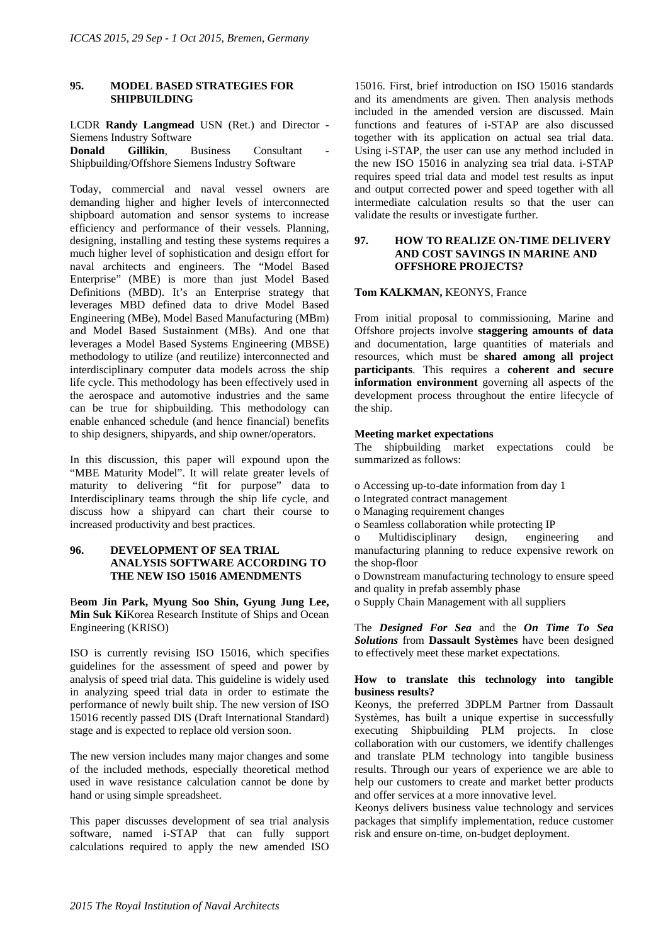#### **95. MODEL BASED STRATEGIES FOR SHIPBUILDING**

LCDR **Randy Langmead** USN (Ret.) and Director - Siemens Industry Software

**Donald Gillikin.** Business Consultant Shipbuilding/Offshore Siemens Industry Software

Today, commercial and naval vessel owners are demanding higher and higher levels of interconnected shipboard automation and sensor systems to increase efficiency and performance of their vessels. Planning, designing, installing and testing these systems requires a much higher level of sophistication and design effort for naval architects and engineers. The "Model Based Enterprise" (MBE) is more than just Model Based Definitions (MBD). It's an Enterprise strategy that leverages MBD defined data to drive Model Based Engineering (MBe), Model Based Manufacturing (MBm) and Model Based Sustainment (MBs). And one that leverages a Model Based Systems Engineering (MBSE) methodology to utilize (and reutilize) interconnected and interdisciplinary computer data models across the ship life cycle. This methodology has been effectively used in the aerospace and automotive industries and the same can be true for shipbuilding. This methodology can enable enhanced schedule (and hence financial) benefits to ship designers, shipyards, and ship owner/operators.

In this discussion, this paper will expound upon the "MBE Maturity Model". It will relate greater levels of maturity to delivering "fit for purpose" data to Interdisciplinary teams through the ship life cycle, and discuss how a shipyard can chart their course to increased productivity and best practices.

## **96. DEVELOPMENT OF SEA TRIAL ANALYSIS SOFTWARE ACCORDING TO THE NEW ISO 15016 AMENDMENTS**

B**eom Jin Park, Myung Soo Shin, Gyung Jung Lee, Min Suk Ki**Korea Research Institute of Ships and Ocean Engineering (KRISO)

ISO is currently revising ISO 15016, which specifies guidelines for the assessment of speed and power by analysis of speed trial data. This guideline is widely used in analyzing speed trial data in order to estimate the performance of newly built ship. The new version of ISO 15016 recently passed DIS (Draft International Standard) stage and is expected to replace old version soon.

The new version includes many major changes and some of the included methods, especially theoretical method used in wave resistance calculation cannot be done by hand or using simple spreadsheet.

This paper discusses development of sea trial analysis software, named i-STAP that can fully support calculations required to apply the new amended ISO

15016. First, brief introduction on ISO 15016 standards and its amendments are given. Then analysis methods included in the amended version are discussed. Main functions and features of i-STAP are also discussed together with its application on actual sea trial data. Using i-STAP, the user can use any method included in the new ISO 15016 in analyzing sea trial data. i-STAP requires speed trial data and model test results as input and output corrected power and speed together with all intermediate calculation results so that the user can validate the results or investigate further.

### **97. HOW TO REALIZE ON-TIME DELIVERY AND COST SAVINGS IN MARINE AND OFFSHORE PROJECTS?**

#### **Tom KALKMAN,** KEONYS, France

From initial proposal to commissioning, Marine and Offshore projects involve **staggering amounts of data**  and documentation, large quantities of materials and resources, which must be **shared among all project participants**. This requires a **coherent and secure information environment** governing all aspects of the development process throughout the entire lifecycle of the ship.

#### **Meeting market expectations**

The shipbuilding market expectations could be summarized as follows:

- o Accessing up-to-date information from day 1
- o Integrated contract management
- o Managing requirement changes
- o Seamless collaboration while protecting IP

o Multidisciplinary design, engineering and manufacturing planning to reduce expensive rework on the shop-floor

o Downstream manufacturing technology to ensure speed and quality in prefab assembly phase

o Supply Chain Management with all suppliers

The *Designed For Sea* and the *On Time To Sea Solutions* from **Dassault Systèmes** have been designed to effectively meet these market expectations.

#### **How to translate this technology into tangible business results?**

Keonys, the preferred 3DPLM Partner from Dassault Systèmes, has built a unique expertise in successfully executing Shipbuilding PLM projects. In close collaboration with our customers, we identify challenges and translate PLM technology into tangible business results. Through our years of experience we are able to help our customers to create and market better products and offer services at a more innovative level.

Keonys delivers business value technology and services packages that simplify implementation, reduce customer risk and ensure on-time, on-budget deployment.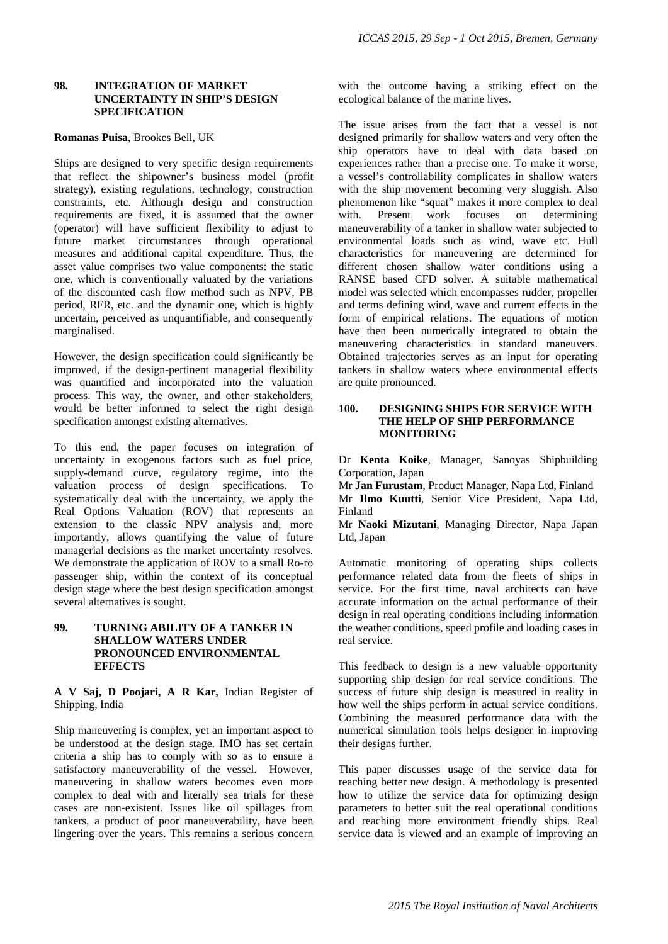#### **98. INTEGRATION OF MARKET UNCERTAINTY IN SHIP'S DESIGN SPECIFICATION**

#### **Romanas Puisa**, Brookes Bell, UK

Ships are designed to very specific design requirements that reflect the shipowner's business model (profit strategy), existing regulations, technology, construction constraints, etc. Although design and construction requirements are fixed, it is assumed that the owner (operator) will have sufficient flexibility to adjust to future market circumstances through operational measures and additional capital expenditure. Thus, the asset value comprises two value components: the static one, which is conventionally valuated by the variations of the discounted cash flow method such as NPV, PB period, RFR, etc. and the dynamic one, which is highly uncertain, perceived as unquantifiable, and consequently marginalised.

However, the design specification could significantly be improved, if the design-pertinent managerial flexibility was quantified and incorporated into the valuation process. This way, the owner, and other stakeholders, would be better informed to select the right design specification amongst existing alternatives.

To this end, the paper focuses on integration of uncertainty in exogenous factors such as fuel price, supply-demand curve, regulatory regime, into the valuation process of design specifications. To systematically deal with the uncertainty, we apply the Real Options Valuation (ROV) that represents an extension to the classic NPV analysis and, more importantly, allows quantifying the value of future managerial decisions as the market uncertainty resolves. We demonstrate the application of ROV to a small Ro-ro passenger ship, within the context of its conceptual design stage where the best design specification amongst several alternatives is sought.

### **99. TURNING ABILITY OF A TANKER IN SHALLOW WATERS UNDER PRONOUNCED ENVIRONMENTAL EFFECTS**

**A V Saj, D Poojari, A R Kar,** Indian Register of Shipping, India

Ship maneuvering is complex, yet an important aspect to be understood at the design stage. IMO has set certain criteria a ship has to comply with so as to ensure a satisfactory maneuverability of the vessel. However, maneuvering in shallow waters becomes even more complex to deal with and literally sea trials for these cases are non-existent. Issues like oil spillages from tankers, a product of poor maneuverability, have been lingering over the years. This remains a serious concern with the outcome having a striking effect on the ecological balance of the marine lives.

The issue arises from the fact that a vessel is not designed primarily for shallow waters and very often the ship operators have to deal with data based on experiences rather than a precise one. To make it worse, a vessel's controllability complicates in shallow waters with the ship movement becoming very sluggish. Also phenomenon like "squat" makes it more complex to deal with. Present work focuses on determining maneuverability of a tanker in shallow water subjected to environmental loads such as wind, wave etc. Hull characteristics for maneuvering are determined for different chosen shallow water conditions using a RANSE based CFD solver. A suitable mathematical model was selected which encompasses rudder, propeller and terms defining wind, wave and current effects in the form of empirical relations. The equations of motion have then been numerically integrated to obtain the maneuvering characteristics in standard maneuvers. Obtained trajectories serves as an input for operating tankers in shallow waters where environmental effects are quite pronounced.

#### **100. DESIGNING SHIPS FOR SERVICE WITH THE HELP OF SHIP PERFORMANCE MONITORING**

Dr **Kenta Koike**, Manager, Sanoyas Shipbuilding Corporation, Japan

Mr **Jan Furustam**, Product Manager, Napa Ltd, Finland Mr **Ilmo Kuutti**, Senior Vice President, Napa Ltd, Finland

Mr **Naoki Mizutani**, Managing Director, Napa Japan Ltd, Japan

Automatic monitoring of operating ships collects performance related data from the fleets of ships in service. For the first time, naval architects can have accurate information on the actual performance of their design in real operating conditions including information the weather conditions, speed profile and loading cases in real service.

This feedback to design is a new valuable opportunity supporting ship design for real service conditions. The success of future ship design is measured in reality in how well the ships perform in actual service conditions. Combining the measured performance data with the numerical simulation tools helps designer in improving their designs further.

This paper discusses usage of the service data for reaching better new design. A methodology is presented how to utilize the service data for optimizing design parameters to better suit the real operational conditions and reaching more environment friendly ships. Real service data is viewed and an example of improving an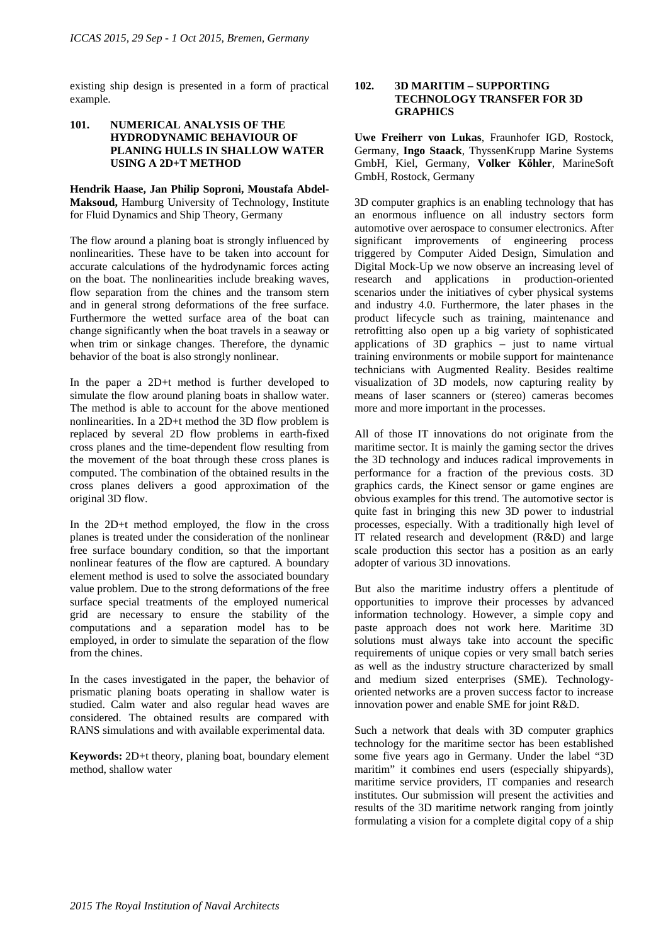existing ship design is presented in a form of practical example.

### **101. NUMERICAL ANALYSIS OF THE HYDRODYNAMIC BEHAVIOUR OF PLANING HULLS IN SHALLOW WATER USING A 2D+T METHOD**

**Hendrik Haase, Jan Philip Soproni, Moustafa Abdel-Maksoud,** Hamburg University of Technology, Institute for Fluid Dynamics and Ship Theory, Germany

The flow around a planing boat is strongly influenced by nonlinearities. These have to be taken into account for accurate calculations of the hydrodynamic forces acting on the boat. The nonlinearities include breaking waves, flow separation from the chines and the transom stern and in general strong deformations of the free surface. Furthermore the wetted surface area of the boat can change significantly when the boat travels in a seaway or when trim or sinkage changes. Therefore, the dynamic behavior of the boat is also strongly nonlinear.

In the paper a 2D+t method is further developed to simulate the flow around planing boats in shallow water. The method is able to account for the above mentioned nonlinearities. In a 2D+t method the 3D flow problem is replaced by several 2D flow problems in earth-fixed cross planes and the time-dependent flow resulting from the movement of the boat through these cross planes is computed. The combination of the obtained results in the cross planes delivers a good approximation of the original 3D flow.

In the 2D+t method employed, the flow in the cross planes is treated under the consideration of the nonlinear free surface boundary condition, so that the important nonlinear features of the flow are captured. A boundary element method is used to solve the associated boundary value problem. Due to the strong deformations of the free surface special treatments of the employed numerical grid are necessary to ensure the stability of the computations and a separation model has to be employed, in order to simulate the separation of the flow from the chines.

In the cases investigated in the paper, the behavior of prismatic planing boats operating in shallow water is studied. Calm water and also regular head waves are considered. The obtained results are compared with RANS simulations and with available experimental data.

**Keywords:** 2D+t theory, planing boat, boundary element method, shallow water

### **102. 3D MARITIM – SUPPORTING TECHNOLOGY TRANSFER FOR 3D GRAPHICS**

**Uwe Freiherr von Lukas**, Fraunhofer IGD, Rostock, Germany, **Ingo Staack**, ThyssenKrupp Marine Systems GmbH, Kiel, Germany, **Volker Köhler**, MarineSoft GmbH, Rostock, Germany

3D computer graphics is an enabling technology that has an enormous influence on all industry sectors form automotive over aerospace to consumer electronics. After significant improvements of engineering process triggered by Computer Aided Design, Simulation and Digital Mock-Up we now observe an increasing level of research and applications in production-oriented scenarios under the initiatives of cyber physical systems and industry 4.0. Furthermore, the later phases in the product lifecycle such as training, maintenance and retrofitting also open up a big variety of sophisticated applications of 3D graphics – just to name virtual training environments or mobile support for maintenance technicians with Augmented Reality. Besides realtime visualization of 3D models, now capturing reality by means of laser scanners or (stereo) cameras becomes more and more important in the processes.

All of those IT innovations do not originate from the maritime sector. It is mainly the gaming sector the drives the 3D technology and induces radical improvements in performance for a fraction of the previous costs. 3D graphics cards, the Kinect sensor or game engines are obvious examples for this trend. The automotive sector is quite fast in bringing this new 3D power to industrial processes, especially. With a traditionally high level of IT related research and development (R&D) and large scale production this sector has a position as an early adopter of various 3D innovations.

But also the maritime industry offers a plentitude of opportunities to improve their processes by advanced information technology. However, a simple copy and paste approach does not work here. Maritime 3D solutions must always take into account the specific requirements of unique copies or very small batch series as well as the industry structure characterized by small and medium sized enterprises (SME). Technologyoriented networks are a proven success factor to increase innovation power and enable SME for joint R&D.

Such a network that deals with 3D computer graphics technology for the maritime sector has been established some five years ago in Germany. Under the label "3D maritim" it combines end users (especially shipyards), maritime service providers, IT companies and research institutes. Our submission will present the activities and results of the 3D maritime network ranging from jointly formulating a vision for a complete digital copy of a ship